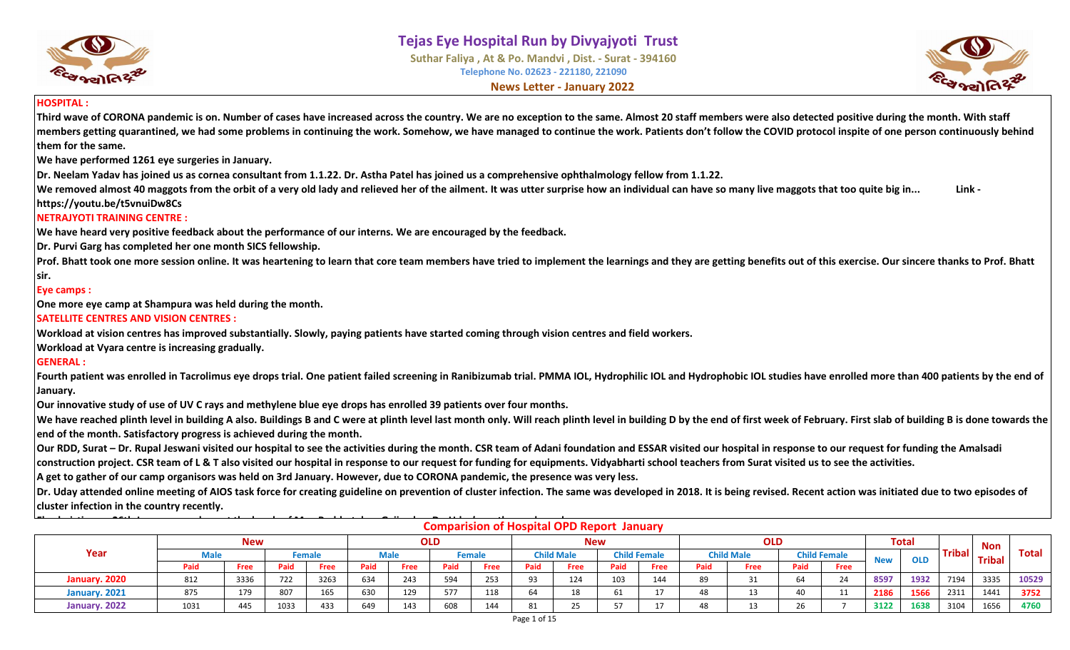





#### **HOSPITAL :**

**Third wave of CORONA pandemic is on. Number of cases have increased across the country. We are no exception to the same. Almost 20 staff members were also detected positive during the month. With staff members getting quarantined, we had some problems in continuing the work. Somehow, we have managed to continue the work. Patients don't follow the COVID protocol inspite of one person continuously behind them for the same.** 

**We have performed 1261 eye surgeries in January.**

**Dr. Neelam Yadav has joined us as cornea consultant from 1.1.22. Dr. Astha Patel has joined us a comprehensive ophthalmology fellow from 1.1.22.**

We removed almost 40 maggots from the orbit of a very old lady and relieved her of the ailment. It was utter surprise how an individual can have so many live maggots that too quite big in... **Link https://youtu.be/t5vnuiDw8Cs**

#### **NETRAJYOTI TRAINING CENTRE :**

**We have heard very positive feedback about the performance of our interns. We are encouraged by the feedback.**

**Dr. Purvi Garg has completed her one month SICS fellowship.**

Prof. Bhatt took one more session online. It was heartening to learn that core team members have tried to implement the learnings and they are getting benefits out of this exercise. Our sincere thanks to Prof. Bhatt **sir.**

#### **Eye camps :**

**One more eye camp at Shampura was held during the month.**

#### **SATELLITE CENTRES AND VISION CENTRES :**

**Workload at vision centres has improved substantially. Slowly, paying patients have started coming through vision centres and field workers.**

**Workload at Vyara centre is increasing gradually.**

#### **GENERAL :**

Fourth patient was enrolled in Tacrolimus eye drops trial. One patient failed screening in Ranibizumab trial. PMMA IOL, Hydrophilic IOL and Hydrophobic IOL studies have enrolled more than 400 patients by the end of **January.**

**Our innovative study of use of UV C rays and methylene blue eye drops has enrolled 39 patients over four months.**

We have reached plinth level in building A also. Buildings B and C were at plinth level last month only. Will reach plinth level in building D by the end of first week of February. First slab of building B is done towards **end of the month. Satisfactory progress is achieved during the month.** 

**Our RDD, Surat – Dr. Rupal Jeswani visited our hospital to see the activities during the month. CSR team of Adani foundation and ESSAR visited our hospital in response to our request for funding the Amalsadi construction project. CSR team of L & T also visited our hospital in response to our request for funding for equipments. Vidyabharti school teachers from Surat visited us to see the activities.**

**A get to gather of our camp organisors was held on 3rd January. However, due to CORONA pandemic, the presence was very less.**

**Dr. Uday attended online meeting of AIOS task force for creating guideline on prevention of cluster infection. The same was developed in 2018. It is being revised. Recent action was initiated due to two episodes of cluster infection in the country recently.**

| $- - - -$                                                                                                                                                                                                                                                                  |      |      |      |      |      |      |      |      |      | <b>Comparision of Hospital OPD Report January</b> |      |             |      |              |            |             |      |      |      |               |              |
|----------------------------------------------------------------------------------------------------------------------------------------------------------------------------------------------------------------------------------------------------------------------------|------|------|------|------|------|------|------|------|------|---------------------------------------------------|------|-------------|------|--------------|------------|-------------|------|------|------|---------------|--------------|
| <b>Total</b><br><b>OLD</b><br><b>OLD</b><br><b>New</b><br><b>New</b><br><b>Tribal</b><br>Year<br><b>Child Female</b><br><b>Child Male</b><br><b>Child Male</b><br><b>Child Female</b><br><b>Male</b><br><b>Male</b><br><b>Female</b><br>Female<br><b>OLD</b><br><b>New</b> |      |      |      |      |      |      |      |      |      |                                                   |      |             |      |              | <b>Non</b> |             |      |      |      |               |              |
|                                                                                                                                                                                                                                                                            |      |      |      |      |      |      |      |      |      |                                                   |      |             |      |              |            |             |      |      |      | <b>Tribal</b> | <b>Total</b> |
|                                                                                                                                                                                                                                                                            | Paid | Free | Paid | Free | Paid | Free | Paid | Free | Paid | Free                                              | Paid | <b>Free</b> | Paid | Free         | Paid       | <b>Free</b> |      |      |      |               |              |
| January. 2020                                                                                                                                                                                                                                                              | 812  | 3336 | 722  | 3263 | 634  | 243  | 594  | 253  | 93   | 124                                               | 103  | 144         | 89   | $\mathbf{a}$ | 64         | 24          | 8597 | 1932 | 7194 | 3335          | 10529        |
| January. 2021                                                                                                                                                                                                                                                              | 875  | 179  | 807  | 165  | 630  | 129  | 577  | 118  | 64   | 18                                                |      | 17          | 48   |              | 40         | ᆠᆂ          | 2186 | 1566 | 2311 | 1441          | 3752         |
| January. 2022                                                                                                                                                                                                                                                              | 1031 | 445  | 1033 | 433  | 649  | 143  | 608  | 144  | 81   | 25.                                               | ᄄ    | 17          | 48   |              | 26         |             | 3122 | 1638 | 3104 | 1656          | 4760         |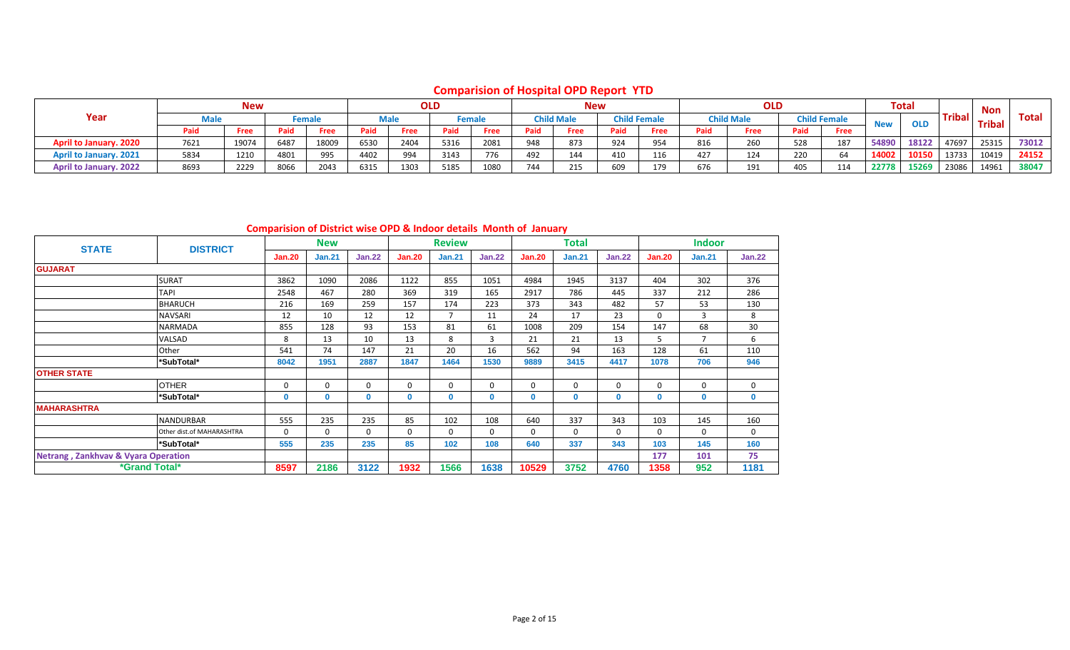# **Comparision of Hospital OPD Report YTD**

|                               |      | <b>New</b> |      |        |      |             | <b>OLD</b> |        |      |                   | <b>New</b> |                     |      | <b>OLD</b>        |      |                     |            | <b>Total</b> |        | Non           |              |
|-------------------------------|------|------------|------|--------|------|-------------|------------|--------|------|-------------------|------------|---------------------|------|-------------------|------|---------------------|------------|--------------|--------|---------------|--------------|
| Year                          | Male |            |      | Female |      | <b>Male</b> |            | Female |      | <b>Child Male</b> |            | <b>Child Female</b> |      | <b>Child Male</b> |      | <b>Child Female</b> | <b>New</b> | <b>OLD</b>   | Tribal | <b>Tribal</b> | <b>Total</b> |
|                               | Paid | Free       | Paid | Free   | Paid | Free        | Paid       | Free   | Paid | Free              | Paid       | Free                | Paid | Free              | Paid | Free                |            |              |        |               |              |
| <b>April to January. 2020</b> | 7621 | 19074      | 6487 | 18009  | 6530 | 2404        | 5316       | 2081   | 948  | 873               | 924        | 954                 | 816  | 260               | 528  | 187                 | 54890      | 18122        | 47697  | 25315         | 73012        |
| <b>April to January. 2021</b> | 5834 | 1210       | 4801 | 995    | 4402 | 994         | 3143       | 776    | 492  | 144               | 410        |                     | 427  | 124               | 220  | 64                  | 14002      | 10150        | 13733  | 10419         | 24152        |
| <b>April to January. 2022</b> | 8693 | 2229       | 8066 | 2043   | 6315 | 1303        | 5185       | 1080   | 744  | 215               | 609        | 179                 | 676  | 101<br>ᆠᆑ         | 405  | 114                 | 22778      | 15269        | 23086  | 14961         | 38047        |

# **Comparision of District wise OPD & Indoor details Month of January**

| <b>STATE</b>                                   | <b>DISTRICT</b>           |               | <b>New</b>    |               |             | <b>Review</b>  |               |               | Total         |               |               | <b>Indoor</b>  |               |
|------------------------------------------------|---------------------------|---------------|---------------|---------------|-------------|----------------|---------------|---------------|---------------|---------------|---------------|----------------|---------------|
|                                                |                           | <b>Jan.20</b> | <b>Jan.21</b> | <b>Jan.22</b> | Jan.20      | <b>Jan.21</b>  | <b>Jan.22</b> | <b>Jan.20</b> | <b>Jan.21</b> | <b>Jan.22</b> | <b>Jan.20</b> | <b>Jan.21</b>  | <b>Jan.22</b> |
| <b>GUJARAT</b>                                 |                           |               |               |               |             |                |               |               |               |               |               |                |               |
|                                                | <b>SURAT</b>              | 3862          | 1090          | 2086          | 1122        | 855            | 1051          | 4984          | 1945          | 3137          | 404           | 302            | 376           |
|                                                | <b>TAPI</b>               | 2548          | 467           | 280           | 369         | 319            | 165           | 2917          | 786           | 445           | 337           | 212            | 286           |
|                                                | <b>BHARUCH</b>            | 216           | 169           | 259           | 157         | 174            | 223           | 373           | 343           | 482           | 57            | 53             | 130           |
|                                                | <b>NAVSARI</b>            | 12            | 10            | 12            | 12          | $\overline{7}$ | 11            | 24            | 17            | 23            | $\Omega$      | 3              | 8             |
|                                                | <b>NARMADA</b>            | 855           | 128           | 93            | 153         | 81             | 61            | 1008          | 209           | 154           | 147           | 68             | 30            |
|                                                | VALSAD                    | 8             | 13            | 10            | 13          | 8              | 3             | 21            | 21            | 13            | 5             | $\overline{7}$ | 6             |
|                                                | Other                     | 541           | 74            | 147           | 21          | 20             | 16            | 562           | 94            | 163           | 128           | 61             | 110           |
|                                                | *SubTotal*                | 8042          | 1951          | 2887          | 1847        | 1464           | 1530          | 9889          | 3415          | 4417          | 1078          | 706            | 946           |
| <b>OTHER STATE</b>                             |                           |               |               |               |             |                |               |               |               |               |               |                |               |
|                                                | <b>OTHER</b>              | 0             | $\Omega$      | 0             | 0           | 0              | $\mathbf 0$   | $\mathbf 0$   | $\Omega$      | $\Omega$      | 0             | $\mathbf 0$    | $\mathbf 0$   |
|                                                | *SubTotal*                | $\mathbf{0}$  | $\mathbf{0}$  | 0             | $\mathbf 0$ | 0              | $\mathbf{0}$  | 0             | $\mathbf{0}$  | $\mathbf{0}$  | $\mathbf{0}$  | $\mathbf 0$    | $\mathbf 0$   |
| <b>MAHARASHTRA</b>                             |                           |               |               |               |             |                |               |               |               |               |               |                |               |
|                                                | <b>NANDURBAR</b>          | 555           | 235           | 235           | 85          | 102            | 108           | 640           | 337           | 343           | 103           | 145            | 160           |
|                                                | Other dist.of MAHARASHTRA | $\Omega$      | $\Omega$      | 0             | 0           | 0              | 0             | 0             | 0             | $\Omega$      | $\Omega$      | $\mathbf 0$    | $\mathbf 0$   |
|                                                | *SubTotal*                | 555           | 235           | 235           | 85          | 102            | 108           | 640           | 337           | 343           | 103           | 145            | 160           |
| <b>Netrang, Zankhvav &amp; Vyara Operation</b> |                           |               |               |               |             |                |               |               |               |               | 177           | 101            | 75            |
| *Grand Total*                                  |                           | 8597          | 2186          | 3122          | 1932        | 1566           | 1638          | 10529         | 3752          | 4760          | 1358          | 952            | 1181          |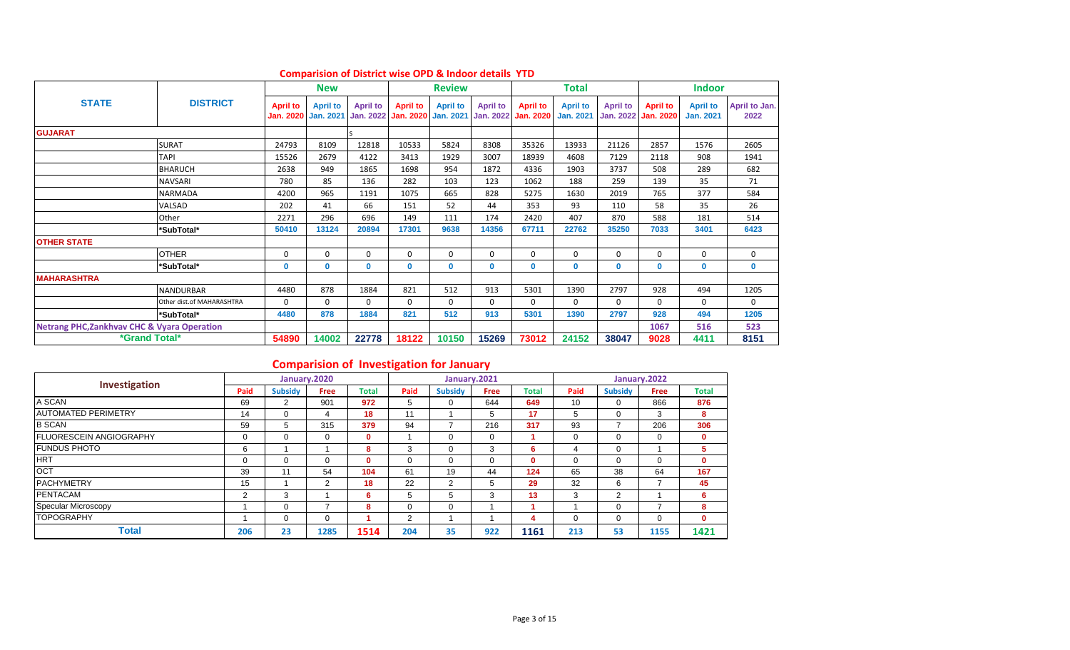|                                                        |                           |                 | <b>New</b>                             |                 |                                        | <b>Review</b>                       |                 |                                        | Total                               |                                     |                                     | <b>Indoor</b>                       |                       |
|--------------------------------------------------------|---------------------------|-----------------|----------------------------------------|-----------------|----------------------------------------|-------------------------------------|-----------------|----------------------------------------|-------------------------------------|-------------------------------------|-------------------------------------|-------------------------------------|-----------------------|
| <b>STATE</b>                                           | <b>DISTRICT</b>           | <b>April to</b> | <b>April to</b><br>Jan. 2020 Jan. 2021 | <b>April to</b> | <b>April to</b><br>Jan. 2022 Jan. 2020 | <b>April to</b><br><b>Jan. 2021</b> | <b>April to</b> | <b>April to</b><br>Jan. 2022 Jan. 2020 | <b>April to</b><br><b>Jan. 2021</b> | <b>April to</b><br><b>Jan. 2022</b> | <b>April to</b><br><b>Jan. 2020</b> | <b>April to</b><br><b>Jan. 2021</b> | April to Jan.<br>2022 |
| <b>GUJARAT</b>                                         |                           |                 |                                        |                 |                                        |                                     |                 |                                        |                                     |                                     |                                     |                                     |                       |
|                                                        | <b>SURAT</b>              | 24793           | 8109                                   | 12818           | 10533                                  | 5824                                | 8308            | 35326                                  | 13933                               | 21126                               | 2857                                | 1576                                | 2605                  |
|                                                        | <b>TAPI</b>               | 15526           | 2679                                   | 4122            | 3413                                   | 1929                                | 3007            | 18939                                  | 4608                                | 7129                                | 2118                                | 908                                 | 1941                  |
|                                                        | <b>BHARUCH</b>            | 2638            | 949                                    | 1865            | 1698                                   | 954                                 | 1872            | 4336                                   | 1903                                | 3737                                | 508                                 | 289                                 | 682                   |
|                                                        | <b>NAVSARI</b>            | 780             | 85                                     | 136             | 282                                    | 103                                 | 123             | 1062                                   | 188                                 | 259                                 | 139                                 | 35                                  | 71                    |
|                                                        | <b>NARMADA</b>            | 4200            | 965                                    | 1191            | 1075                                   | 665                                 | 828             | 5275                                   | 1630                                | 2019                                | 765                                 | 377                                 | 584                   |
|                                                        | VALSAD                    | 202             | 41                                     | 66              | 151                                    | 52                                  | 44              | 353                                    | 93                                  | 110                                 | 58                                  | 35                                  | 26                    |
|                                                        | Other                     | 2271            | 296                                    | 696             | 149                                    | 111                                 | 174             | 2420                                   | 407                                 | 870                                 | 588                                 | 181                                 | 514                   |
|                                                        | *SubTotal*                | 50410           | 13124                                  | 20894           | 17301                                  | 9638                                | 14356           | 67711                                  | 22762                               | 35250                               | 7033                                | 3401                                | 6423                  |
| <b>OTHER STATE</b>                                     |                           |                 |                                        |                 |                                        |                                     |                 |                                        |                                     |                                     |                                     |                                     |                       |
|                                                        | <b>OTHER</b>              | 0               | 0                                      | $\Omega$        | $\Omega$                               | $\Omega$                            | 0               | 0                                      | $\mathbf 0$                         | $\Omega$                            | $\Omega$                            | $\mathbf 0$                         | 0                     |
|                                                        | *SubTotal*                | $\mathbf 0$     | $\bf{0}$                               | $\mathbf{0}$    | $\mathbf{0}$                           | $\mathbf{0}$                        | 0               | 0                                      | $\mathbf{0}$                        | $\mathbf{0}$                        | $\mathbf{0}$                        | $\mathbf{0}$                        | 0                     |
| <b>MAHARASHTRA</b>                                     |                           |                 |                                        |                 |                                        |                                     |                 |                                        |                                     |                                     |                                     |                                     |                       |
|                                                        | <b>NANDURBAR</b>          | 4480            | 878                                    | 1884            | 821                                    | 512                                 | 913             | 5301                                   | 1390                                | 2797                                | 928                                 | 494                                 | 1205                  |
|                                                        | Other dist.of MAHARASHTRA | $\Omega$        | 0                                      | $\Omega$        | $\Omega$                               | $\Omega$                            | 0               | 0                                      | 0                                   | $\Omega$                            | $\Omega$                            | $\Omega$                            | 0                     |
|                                                        | *SubTotal*                | 4480            | 878                                    | 1884            | 821                                    | 512                                 | 913             | 5301                                   | 1390                                | 2797                                | 928                                 | 494                                 | 1205                  |
| <b>Netrang PHC, Zankhvav CHC &amp; Vyara Operation</b> |                           |                 |                                        |                 |                                        |                                     |                 |                                        |                                     |                                     | 1067                                | 516                                 | 523                   |
| <i><b>*Grand Total*</b></i>                            |                           | 54890           | 14002                                  | 22778           | 18122                                  | 10150                               | 15269           | 73012                                  | 24152                               | 38047                               | 9028                                | 4411                                | 8151                  |

## **Comparision of District wise OPD & Indoor details YTD**

# **Comparision of Investigation for January**

| Investigation                   |                |                | January.2020 |              |          |                | January.2021 |              |          |                | January.2022 |              |
|---------------------------------|----------------|----------------|--------------|--------------|----------|----------------|--------------|--------------|----------|----------------|--------------|--------------|
|                                 | Paid           | <b>Subsidy</b> | Free         | <b>Total</b> | Paid     | <b>Subsidy</b> | <b>Free</b>  | <b>Total</b> | Paid     | <b>Subsidy</b> | <b>Free</b>  | <b>Total</b> |
| A SCAN                          | 69             | 2              | 901          | 972          | 5        | 0              | 644          | 649          | 10       |                | 866          | 876          |
| <b>AUTOMATED PERIMETRY</b>      | 14             | $\Omega$       | 4            | 18           | 11       |                | 5            | 17           | 5        |                | 3            | 8            |
| <b>B SCAN</b>                   | 59             | 5              | 315          | 379          | 94       |                | 216          | 317          | 93       |                | 206          | 306          |
| <b>IFLUORESCEIN ANGIOGRAPHY</b> |                | $\Omega$       | $\Omega$     | $\mathbf{0}$ |          | 0              | 0            |              | 0        | 0              | 0            | 0            |
| <b>FUNDUS PHOTO</b>             | 6              |                |              | 8            | 3        | 0              | 3            | 6            | 4        | 0              |              | 5            |
| <b>HRT</b>                      |                | $\Omega$       | $\Omega$     | $\bf{0}$     | $\Omega$ | 0              | $\Omega$     | 0            | $\Omega$ |                | $\Omega$     | 0            |
| <b>OCT</b>                      | 39             | 11             | 54           | 104          | 61       | 19             | 44           | 124          | 65       | 38             | 64           | 167          |
| <b>PACHYMETRY</b>               | 15             |                | 2            | 18           | 22       | 2              | 5            | 29           | 32       | 6              | 7            | 45           |
| <b>PENTACAM</b>                 | $\overline{2}$ | 3              |              | 6            | 5        | 5              | 3            | 13           | 3        | 2              |              | 6            |
| Specular Microscopy             |                | $\Omega$       |              | 8            | C        | 0              |              |              |          | 0              | -            | 8            |
| <b>TOPOGRAPHY</b>               |                | $\Omega$       | $\Omega$     |              | 2        |                |              | 4            | $\Omega$ |                | 0            | $\mathbf{0}$ |
| <b>Total</b>                    | 206            | 23             | 1285         | 1514         | 204      | 35             | 922          | 1161         | 213      | 53             | 1155         | 1421         |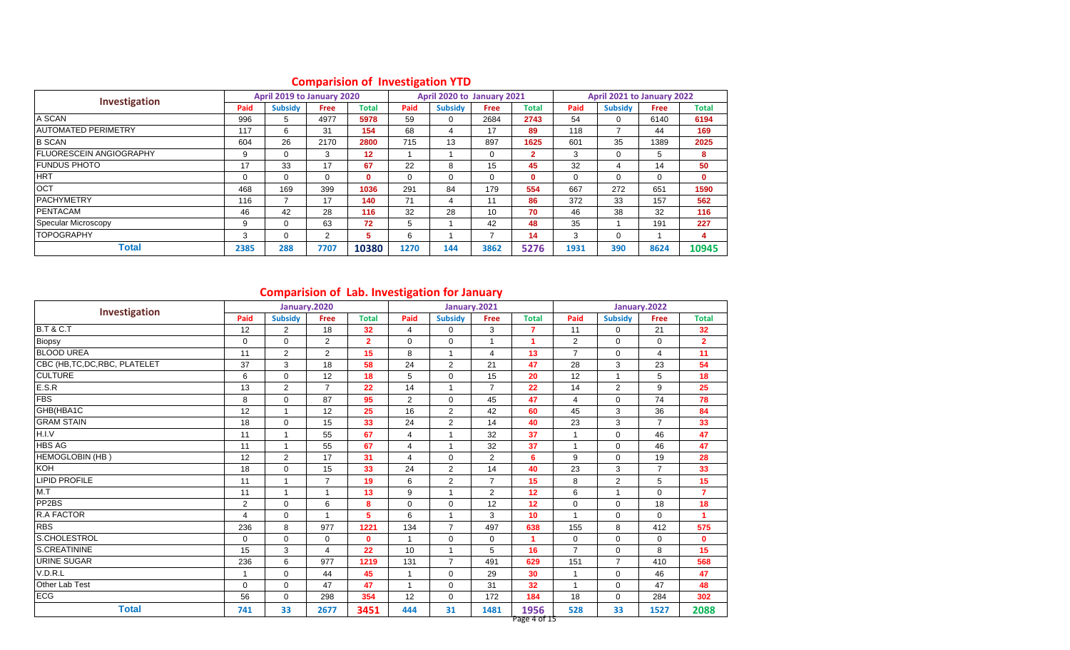|                                 |      | April 2019 to January 2020 |          |                 |          | April 2020 to January 2021 |             |              |             | April 2021 to January 2022 |             |              |
|---------------------------------|------|----------------------------|----------|-----------------|----------|----------------------------|-------------|--------------|-------------|----------------------------|-------------|--------------|
| <b>Investigation</b>            | Paid | <b>Subsidy</b>             | Free     | <b>Total</b>    | Paid     | <b>Subsidy</b>             | <b>Free</b> | <b>Total</b> | Paid        | <b>Subsidy</b>             | <b>Free</b> | Total        |
| A SCAN                          | 996  | 5                          | 4977     | 5978            | 59       | 0                          | 2684        | 2743         | 54          | 0                          | 6140        | 6194         |
| <b>AUTOMATED PERIMETRY</b>      | 117  | 6                          | 31       | 154             | 68       |                            | 17          | 89           | 118         |                            | 44          | 169          |
| <b>B SCAN</b>                   | 604  | 26                         | 2170     | 2800            | 715      | 13                         | 897         | 1625         | 601         | 35                         | 1389        | 2025         |
| <b>IFLUORESCEIN ANGIOGRAPHY</b> | 9    | $\Omega$                   | 3        | 12 <sup>2</sup> |          |                            | $\mathbf 0$ | 2.           | 3           | 0                          | 5           | 8            |
| <b>IFUNDUS PHOTO</b>            | 17   | 33                         | 17       | 67              | 22       | 8                          | 15          | 45           | 32          | 4                          | 14          | 50           |
| <b>HRT</b>                      |      | $\Omega$                   | $\Omega$ | $\mathbf{0}$    | $\Omega$ |                            | $\Omega$    | 0            | $\mathbf 0$ | 0                          | $\mathbf 0$ | $\mathbf{0}$ |
| <b>OCT</b>                      | 468  | 169                        | 399      | 1036            | 291      | 84                         | 179         | 554          | 667         | 272                        | 651         | 1590         |
| <b>PACHYMETRY</b>               | 116  |                            | 17       | 140             | 71       | 4                          | 11          | 86           | 372         | 33                         | 157         | 562          |
| <b>PENTACAM</b>                 | 46   | 42                         | 28       | 116             | 32       | 28                         | 10          | 70           | 46          | 38                         | 32          | 116          |
| Specular Microscopy             | 9    | $\Omega$                   | 63       | 72              | 5        |                            | 42          | 48           | 35          |                            | 191         | 227          |
| <b>TOPOGRAPHY</b>               | 3    | $\Omega$                   | 2        | 5               | 6        |                            |             | 14           | 3           | 0                          |             | 4            |
| Total                           | 2385 | 288                        | 7707     | 10380           | 1270     | 144                        | 3862        | 5276         | 1931        | 390                        | 8624        | 10945        |

# **Comparision of Investigation YTD**

# **Comparision of Lab. Investigation for January**

| Investigation                  |              |                | January.2020   |                |                |                | January.2021   |                      |                |                | January.2022   |                |
|--------------------------------|--------------|----------------|----------------|----------------|----------------|----------------|----------------|----------------------|----------------|----------------|----------------|----------------|
|                                | Paid         | <b>Subsidy</b> | Free           | <b>Total</b>   | Paid           | <b>Subsidy</b> | Free           | <b>Total</b>         | Paid           | <b>Subsidy</b> | <b>Free</b>    | <b>Total</b>   |
| <b>B.T &amp; C.T</b>           | 12           | $\overline{2}$ | 18             | 32             | 4              | 0              | 3              | 7                    | 11             | 0              | 21             | 32             |
| Biopsy                         | $\Omega$     | $\Omega$       | $\overline{2}$ | $\overline{2}$ | $\Omega$       | $\Omega$       | $\overline{1}$ | 4                    | $\overline{2}$ | $\Omega$       | $\Omega$       | $\mathbf{2}$   |
| <b>BLOOD UREA</b>              | 11           | $\overline{2}$ | $\overline{2}$ | 15             | 8              | 1              | 4              | 13                   | $\overline{7}$ | $\mathbf 0$    | $\overline{4}$ | 11             |
| CBC (HB, TC, DC, RBC, PLATELET | 37           | 3              | 18             | 58             | 24             | $\overline{2}$ | 21             | 47                   | 28             | 3              | 23             | 54             |
| <b>CULTURE</b>                 | 6            | $\mathbf 0$    | 12             | 18             | 5              | $\mathbf 0$    | 15             | 20                   | 12             | $\overline{1}$ | 5              | 18             |
| E.S.R                          | 13           | $\overline{2}$ | $\overline{7}$ | 22             | 14             | 1              | $\overline{7}$ | 22                   | 14             | $\overline{2}$ | 9              | 25             |
| <b>FBS</b>                     | 8            | $\mathbf 0$    | 87             | 95             | $\overline{2}$ | 0              | 45             | 47                   | 4              | $\mathbf 0$    | 74             | 78             |
| GHB(HBA1C                      | 12           | $\overline{1}$ | 12             | 25             | 16             | $\overline{2}$ | 42             | 60                   | 45             | 3              | 36             | 84             |
| <b>GRAM STAIN</b>              | 18           | $\mathbf 0$    | 15             | 33             | 24             | $\overline{2}$ | 14             | 40                   | 23             | 3              | $\overline{7}$ | 33             |
| H.I.V                          | 11           | $\overline{1}$ | 55             | 67             | $\overline{4}$ | 1              | 32             | 37                   | $\mathbf{1}$   | $\mathbf 0$    | 46             | 47             |
| <b>HBS AG</b>                  | 11           | $\overline{1}$ | 55             | 67             | $\overline{4}$ | 1              | 32             | 37                   | $\mathbf{1}$   | $\Omega$       | 46             | 47             |
| <b>HEMOGLOBIN (HB)</b>         | 12           | $\overline{2}$ | 17             | 31             | 4              | 0              | $\overline{2}$ | 6                    | 9              | 0              | 19             | 28             |
| KOH                            | 18           | $\mathbf 0$    | 15             | 33             | 24             | $\overline{2}$ | 14             | 40                   | 23             | 3              | $\overline{7}$ | 33             |
| <b>LIPID PROFILE</b>           | 11           | $\overline{1}$ | $\overline{7}$ | 19             | 6              | $\overline{2}$ | $\overline{7}$ | 15                   | 8              | 2              | 5              | 15             |
| M.T                            | 11           | 1              | $\overline{1}$ | 13             | 9              | 1              | $\overline{2}$ | 12                   | 6              |                | 0              | $\overline{7}$ |
| PP <sub>2</sub> BS             | 2            | $\mathbf 0$    | 6              | 8              | $\mathbf 0$    | $\mathbf 0$    | 12             | 12                   | $\mathbf 0$    | $\mathbf 0$    | 18             | 18             |
| <b>R.A FACTOR</b>              | 4            | $\Omega$       | $\overline{1}$ | 5              | 6              | $\mathbf{1}$   | 3              | 10                   | $\overline{1}$ | $\Omega$       | $\Omega$       | 1              |
| <b>RBS</b>                     | 236          | 8              | 977            | 1221           | 134            | $\overline{7}$ | 497            | 638                  | 155            | 8              | 412            | 575            |
| S.CHOLESTROL                   | $\mathbf 0$  | $\mathbf 0$    | $\mathbf 0$    | $\mathbf 0$    | $\overline{1}$ | 0              | $\mathbf 0$    |                      | $\mathbf 0$    | $\mathbf 0$    | $\mathbf 0$    | $\mathbf{0}$   |
| <b>S.CREATININE</b>            | 15           | 3              | 4              | 22             | 10             | $\mathbf{1}$   | 5              | 16                   | $\overline{7}$ | $\Omega$       | 8              | 15             |
| <b>URINE SUGAR</b>             | 236          | 6              | 977            | 1219           | 131            | $\overline{7}$ | 491            | 629                  | 151            | $\overline{7}$ | 410            | 568            |
| V.D.R.L                        | $\mathbf{A}$ | $\mathbf 0$    | 44             | 45             | 1              | 0              | 29             | 30                   | $\overline{1}$ | $\mathbf 0$    | 46             | 47             |
| Other Lab Test                 | $\Omega$     | $\Omega$       | 47             | 47             | $\overline{1}$ | $\Omega$       | 31             | 32                   | $\overline{1}$ | $\Omega$       | 47             | 48             |
| <b>ECG</b>                     | 56           | $\mathbf 0$    | 298            | 354            | 12             | 0              | 172            | 184                  | 18             | $\mathbf 0$    | 284            | 302            |
| <b>Total</b>                   | 741          | 33             | 2677           | 3451           | 444            | 31             | 1481           | 1956<br>Page 4 of 15 | 528            | 33             | 1527           | 2088           |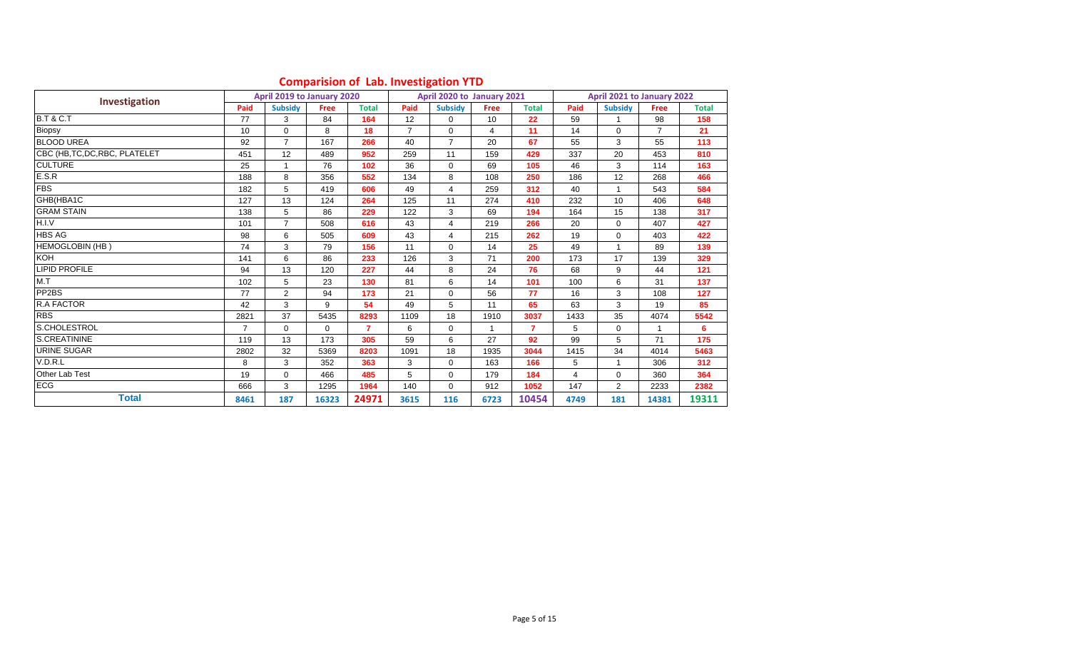|                                |      | April 2019 to January 2020 |             |                |                | April 2020 to January 2021 |      |              |                | April 2021 to January 2022 |                |              |
|--------------------------------|------|----------------------------|-------------|----------------|----------------|----------------------------|------|--------------|----------------|----------------------------|----------------|--------------|
| Investigation                  | Paid | <b>Subsidy</b>             | <b>Free</b> | <b>Total</b>   | Paid           | <b>Subsidy</b>             | Free | <b>Total</b> | Paid           | <b>Subsidy</b>             | <b>Free</b>    | <b>Total</b> |
| <b>B.T &amp; C.T</b>           | 77   | 3                          | 84          | 164            | 12             | 0                          | 10   | 22           | 59             |                            | 98             | 158          |
| Biopsy                         | 10   | $\Omega$                   | 8           | 18             | $\overline{7}$ | $\Omega$                   | 4    | 11           | 14             | $\Omega$                   | $\overline{7}$ | 21           |
| <b>BLOOD UREA</b>              | 92   | $\overline{7}$             | 167         | 266            | 40             | $\overline{7}$             | 20   | 67           | 55             | 3                          | 55             | 113          |
| CBC (HB, TC, DC, RBC, PLATELET | 451  | 12                         | 489         | 952            | 259            | 11                         | 159  | 429          | 337            | 20                         | 453            | 810          |
| <b>CULTURE</b>                 | 25   | $\mathbf{1}$               | 76          | 102            | 36             | $\Omega$                   | 69   | 105          | 46             | 3                          | 114            | 163          |
| E.S.R                          | 188  | 8                          | 356         | 552            | 134            | 8                          | 108  | 250          | 186            | 12                         | 268            | 466          |
| <b>FBS</b>                     | 182  | 5                          | 419         | 606            | 49             | 4                          | 259  | 312          | 40             |                            | 543            | 584          |
| GHB(HBA1C                      | 127  | 13                         | 124         | 264            | 125            | 11                         | 274  | 410          | 232            | 10                         | 406            | 648          |
| <b>GRAM STAIN</b>              | 138  | 5                          | 86          | 229            | 122            | 3                          | 69   | 194          | 164            | 15                         | 138            | 317          |
| H.I.V                          | 101  | $\overline{7}$             | 508         | 616            | 43             | 4                          | 219  | 266          | 20             | $\mathbf 0$                | 407            | 427          |
| <b>HBS AG</b>                  | 98   | 6                          | 505         | 609            | 43             | 4                          | 215  | 262          | 19             | $\Omega$                   | 403            | 422          |
| HEMOGLOBIN (HB)                | 74   | 3                          | 79          | 156            | 11             | $\Omega$                   | 14   | 25           | 49             |                            | 89             | 139          |
| <b>KOH</b>                     | 141  | 6                          | 86          | 233            | 126            | 3                          | 71   | 200          | 173            | 17                         | 139            | 329          |
| <b>LIPID PROFILE</b>           | 94   | 13                         | 120         | 227            | 44             | 8                          | 24   | 76           | 68             | 9                          | 44             | 121          |
| M.T                            | 102  | 5                          | 23          | 130            | 81             | 6                          | 14   | 101          | 100            | 6                          | 31             | 137          |
| PP2BS                          | 77   | 2                          | 94          | 173            | 21             | $\Omega$                   | 56   | 77           | 16             | 3                          | 108            | 127          |
| R.A FACTOR                     | 42   | 3                          | 9           | 54             | 49             | 5                          | 11   | 65           | 63             | 3                          | 19             | 85           |
| <b>RBS</b>                     | 2821 | 37                         | 5435        | 8293           | 1109           | 18                         | 1910 | 3037         | 1433           | 35                         | 4074           | 5542         |
| S.CHOLESTROL                   | 7    | $\mathbf 0$                | $\Omega$    | $\overline{7}$ | 6              | $\Omega$                   | 1    | 7            | 5              | $\Omega$                   |                | 6            |
| S.CREATININE                   | 119  | 13                         | 173         | 305            | 59             | 6                          | 27   | 92           | 99             | 5                          | 71             | 175          |
| <b>URINE SUGAR</b>             | 2802 | 32                         | 5369        | 8203           | 1091           | 18                         | 1935 | 3044         | 1415           | 34                         | 4014           | 5463         |
| V.D.R.L                        | 8    | 3                          | 352         | 363            | 3              | $\Omega$                   | 163  | 166          | 5              |                            | 306            | 312          |
| Other Lab Test                 | 19   | $\mathbf 0$                | 466         | 485            | 5              | $\mathbf 0$                | 179  | 184          | $\overline{4}$ | $\mathbf 0$                | 360            | 364          |
| <b>ECG</b>                     | 666  | 3                          | 1295        | 1964           | 140            | $\Omega$                   | 912  | 1052         | 147            | $\overline{2}$             | 2233           | 2382         |
| <b>Total</b>                   | 8461 | 187                        | 16323       | 24971          | 3615           | 116                        | 6723 | 10454        | 4749           | 181                        | 14381          | 19311        |

#### **Comparision of Lab. Investigation YTD**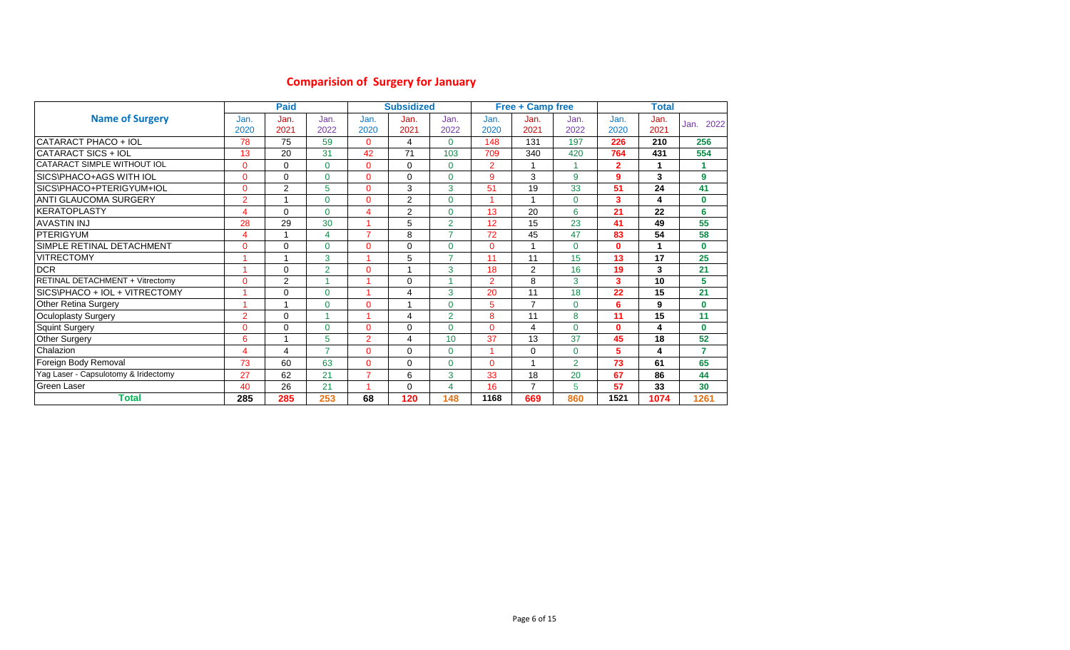# **Comparision of Surgery for January**

|                                        |                | <b>Paid</b>    |                |                | <b>Subsidized</b> |                |                | <b>Free + Camp free</b> |                |                | <b>Total</b> |              |
|----------------------------------------|----------------|----------------|----------------|----------------|-------------------|----------------|----------------|-------------------------|----------------|----------------|--------------|--------------|
| <b>Name of Surgery</b>                 | Jan.<br>2020   | Jan.<br>2021   | Jan.<br>2022   | Jan.<br>2020   | Jan.<br>2021      | Jan.<br>2022   | Jan.<br>2020   | Jan.<br>2021            | Jan.<br>2022   | Jan.<br>2020   | Jan.<br>2021 | 2022<br>Jan. |
| CATARACT PHACO + IOL                   | 78             | 75             | 59             | $\Omega$       | $\overline{4}$    | $\Omega$       | 148            | 131                     | 197            | 226            | 210          | 256          |
| CATARACT SICS + IOL                    | 13             | 20             | 31             | 42             | 71                | 103            | 709            | 340                     | 420            | 764            | 431          | 554          |
| CATARACT SIMPLE WITHOUT IOL            | $\Omega$       | $\Omega$       | $\Omega$       | 0              | $\mathbf 0$       | $\Omega$       | $\overline{2}$ |                         |                | $\overline{2}$ |              |              |
| SICS\PHACO+AGS WITH IOL                | $\Omega$       | 0              | $\Omega$       | $\Omega$       | $\mathbf 0$       | $\Omega$       | 9              | 3                       | 9              | 9              | 3            | 9            |
| SICS\PHACO+PTERIGYUM+IOL               | $\Omega$       | $\overline{2}$ | 5              | $\Omega$       | 3                 | 3              | 51             | 19                      | 33             | 51             | 24           | 41           |
| <b>ANTI GLAUCOMA SURGERY</b>           | $\overline{2}$ | 1              | $\Omega$       | $\Omega$       | 2                 | $\Omega$       | 1              | -1                      | $\mathbf{0}$   | 3              | 4            | $\mathbf 0$  |
| <b>IKERATOPLASTY</b>                   | 4              | 0              | $\Omega$       | 4              | 2                 | $\Omega$       | 13             | 20                      | 6              | 21             | 22           | 6            |
| <b>AVASTIN INJ</b>                     | 28             | 29             | 30             |                | 5                 | $\overline{2}$ | 12             | 15                      | 23             | 41             | 49           | 55           |
| PTERIGYUM                              | 4              | 1              | $\overline{4}$ | $\overline{ }$ | 8                 | ⇁              | 72             | 45                      | 47             | 83             | 54           | 58           |
| SIMPLE RETINAL DETACHMENT              | $\Omega$       | 0              | $\Omega$       | $\Omega$       | $\mathbf 0$       | $\Omega$       | $\overline{0}$ |                         | $\mathbf{0}$   | 0              |              | $\mathbf 0$  |
| <b>VITRECTOMY</b>                      |                | 1              | 3              |                | 5                 | $\overline{z}$ | 11             | 11                      | 15             | 13             | 17           | 25           |
| <b>DCR</b>                             |                | 0              | $\overline{2}$ | $\Omega$       | -1                | 3              | 18             | $\overline{2}$          | 16             | 19             | 3            | 21           |
| <b>RETINAL DETACHMENT + Vitrectomy</b> | $\Omega$       | 2              |                |                | $\mathbf 0$       |                | $\overline{2}$ | 8                       | 3              | 3              | 10           | 5            |
| SICS\PHACO + IOL + VITRECTOMY          |                | $\Omega$       | $\Omega$       |                | 4                 | 3              | 20             | 11                      | 18             | 22             | 15           | 21           |
| <b>Other Retina Surgery</b>            |                | 4              | $\Omega$       | $\Omega$       |                   | $\Omega$       | 5              | $\overline{7}$          | $\mathbf{0}$   | 6              | 9            | $\mathbf{0}$ |
| <b>Oculoplasty Surgery</b>             | $\overline{2}$ | $\Omega$       |                |                | 4                 | 2              | 8              | 11                      | 8              | 11             | 15           | 11           |
| Squint Surgery                         | $\Omega$       | 0              | $\mathbf 0$    | 0              | $\mathbf 0$       | $\Omega$       | $\overline{0}$ | $\overline{4}$          | $\mathbf{0}$   | 0              | 4            | $\mathbf 0$  |
| <b>Other Surgery</b>                   | 6              | 1              | 5              | $\overline{2}$ | $\overline{4}$    | 10             | 37             | 13                      | 37             | 45             | 18           | 52           |
| Chalazion                              | 4              | 4              | $\overline{7}$ | 0              | $\Omega$          | $\Omega$       | 1              | $\Omega$                | $\mathbf{0}$   | 5.             | 4            | 7            |
| Foreign Body Removal                   | 73             | 60             | 63             | $\Omega$       | $\Omega$          | $\Omega$       | 0              | $\overline{\mathbf{A}}$ | $\overline{2}$ | 73             | 61           | 65           |
| Yag Laser - Capsulotomy & Iridectomy   | 27             | 62             | 21             | $\overline{7}$ | 6                 | 3              | 33             | 18                      | 20             | 67             | 86           | 44           |
| <b>Green Laser</b>                     | 40             | 26             | 21             |                | $\mathbf 0$       | $\overline{a}$ | 16             | $\overline{7}$          | 5              | 57             | 33           | 30           |
| Total                                  | 285            | 285            | 253            | 68             | 120               | 148            | 1168           | 669                     | 860            | 1521           | 1074         | 1261         |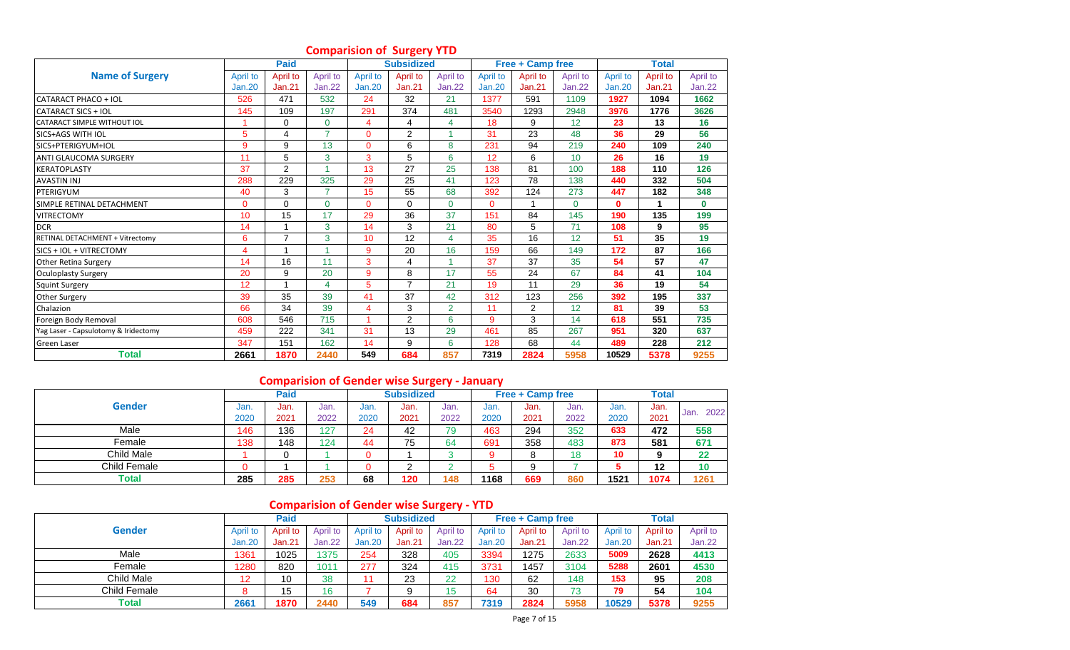|                                      |               | <b>Paid</b>    |                |                 | <b>Subsidized</b> |                |               | <b>Free + Camp free</b> |               |               | <b>Total</b> |              |
|--------------------------------------|---------------|----------------|----------------|-----------------|-------------------|----------------|---------------|-------------------------|---------------|---------------|--------------|--------------|
| <b>Name of Surgery</b>               | April to      | April to       | April to       | April to        | April to          | April to       | April to      | April to                | April to      | April to      | April to     | April to     |
|                                      | <b>Jan.20</b> | Jan.21         | <b>Jan.22</b>  | <b>Jan.20</b>   | Jan.21            | <b>Jan.22</b>  | <b>Jan.20</b> | <b>Jan.21</b>           | <b>Jan.22</b> | <b>Jan.20</b> | Jan.21       | Jan.22       |
| CATARACT PHACO + IOL                 | 526           | 471            | 532            | 24              | 32                | 21             | 1377          | 591                     | 1109          | 1927          | 1094         | 1662         |
| CATARACT SICS + IOL                  | 145           | 109            | 197            | 291             | 374               | 481            | 3540          | 1293                    | 2948          | 3976          | 1776         | 3626         |
| CATARACT SIMPLE WITHOUT IOL          | 1             | $\mathbf 0$    | $\Omega$       | 4               | 4                 | 4              | 18            | 9                       | 12            | 23            | 13           | 16           |
| SICS+AGS WITH IOL                    | 5             | 4              | $\overline{7}$ | $\Omega$        | $\overline{2}$    |                | 31            | 23                      | 48            | 36            | 29           | 56           |
| SICS+PTERIGYUM+IOL                   | 9             | 9              | 13             | $\Omega$        | 6                 | 8              | 231           | 94                      | 219           | 240           | 109          | 240          |
| <b>ANTI GLAUCOMA SURGERY</b>         | 11            | 5              | 3              | 3               | 5                 | 6              | 12            | 6                       | 10            | 26            | 16           | 19           |
| <b>KERATOPLASTY</b>                  | 37            | 2              |                | 13              | 27                | 25             | 138           | 81                      | 100           | 188           | 110          | 126          |
| <b>AVASTIN INJ</b>                   | 288           | 229            | 325            | 29              | 25                | 41             | 123           | 78                      | 138           | 440           | 332          | 504          |
| PTERIGYUM                            | 40            | 3              | 7              | 15              | 55                | 68             | 392           | 124                     | 273           | 447           | 182          | 348          |
| SIMPLE RETINAL DETACHMENT            | $\Omega$      | $\Omega$       | $\Omega$       | $\overline{0}$  | $\Omega$          | $\Omega$       | $\Omega$      |                         | $\Omega$      | $\mathbf{0}$  |              | $\mathbf{0}$ |
| <b>VITRECTOMY</b>                    | 10            | 15             | 17             | 29              | 36                | 37             | 151           | 84                      | 145           | 190           | 135          | 199          |
| <b>DCR</b>                           | 14            | $\overline{1}$ | 3              | 14              | 3                 | 21             | 80            | 5                       | 71            | 108           | 9            | 95           |
| RETINAL DETACHMENT + Vitrectomy      | 6             | $\overline{7}$ | 3              | 10 <sup>1</sup> | 12                | 4              | 35            | 16                      | 12            | 51            | 35           | 19           |
| SICS + IOL + VITRECTOMY              | 4             |                |                | 9               | 20                | 16             | 159           | 66                      | 149           | 172           | 87           | 166          |
| Other Retina Surgery                 | 14            | 16             | 11             | 3               | $\overline{4}$    |                | 37            | 37                      | 35            | 54            | 57           | 47           |
| <b>Oculoplasty Surgery</b>           | 20            | 9              | 20             | 9               | 8                 | 17             | 55            | 24                      | 67            | 84            | 41           | 104          |
| <b>Squint Surgery</b>                | 12            | $\overline{ }$ | $\Delta$       | 5               | $\overline{7}$    | 21             | 19            | 11                      | 29            | 36            | 19           | 54           |
| <b>Other Surgery</b>                 | 39            | 35             | 39             | 41              | 37                | 42             | 312           | 123                     | 256           | 392           | 195          | 337          |
| Chalazion                            | 66            | 34             | 39             | 4               | 3                 | $\overline{2}$ | 11            | $\overline{2}$          | 12            | 81            | 39           | 53           |
| Foreign Body Removal                 | 608           | 546            | 715            |                 | $\overline{2}$    | 6              | 9             | 3                       | 14            | 618           | 551          | 735          |
| Yag Laser - Capsulotomy & Iridectomy | 459           | 222            | 341            | 31              | 13                | 29             | 461           | 85                      | 267           | 951           | 320          | 637          |
| <b>Green Laser</b>                   | 347           | 151            | 162            | 14              | 9                 | 6              | 128           | 68                      | 44            | 489           | 228          | 212          |
| Total                                | 2661          | 1870           | 2440           | 549             | 684               | 857            | 7319          | 2824                    | 5958          | 10529         | 5378         | 9255         |

## **Comparision of Surgery YTD**

# **Comparision of Gender wise Surgery - January**

|               |      | <b>Paid</b> |      |      | <b>Subsidized</b> |      |      | <b>Free + Camp free</b> |      |      | <b>Total</b> |      |
|---------------|------|-------------|------|------|-------------------|------|------|-------------------------|------|------|--------------|------|
| <b>Gender</b> | Jan. | Jan.        | Jan. | Jan. | Jan.              | Jan. | Jan. | Jan.                    | Jan. | Jan. | Jan.         | 2022 |
|               | 2020 | 2021        | 2022 | 2020 | 2021              | 2022 | 2020 | 2021                    | 2022 | 2020 | 2021         | Jan. |
| Male          | 146  | 136         | 127  | 24   | 42                | 79   | 463  | 294                     | 352  | 633  | 472          | 558  |
| Female        | 138  | 148         | 124  | 44   | 75                | 64   | 691  | 358                     | 483  | 873  | 581          | 671  |
| Child Male    |      |             |      |      |                   |      |      | 8                       | 18   | 10   | Ω            | 22   |
| Child Female  |      |             |      |      | ⌒<br>∼            |      |      | 9                       |      |      | 12           | 10   |
| ™otal         | 285  | 285         | 253  | 68   | 120               | 148  | 1168 | 669                     | 860  | 1521 | 1074         | 1261 |

# **Comparision of Gender wise Surgery - YTD**

|               |          | <b>Paid</b> |               |          | <b>Subsidized</b> |           |               | <b>Free + Camp free</b> |          |               | <b>Total</b> |          |
|---------------|----------|-------------|---------------|----------|-------------------|-----------|---------------|-------------------------|----------|---------------|--------------|----------|
| <b>Gender</b> | April to | April to    | April to      | April to | April to          | April to  | April to      | April to                | April to | April to      | April to     | April to |
|               | Jan.20   | Jan.21      | <b>Jan.22</b> | Jan.20   | Jan.21            | Jan.22    | <b>Jan.20</b> | Jan.21                  | Jan.22   | <b>Jan.20</b> | Jan.21       | Jan.22   |
| Male          | 1361     | 1025        | 1375          | 254      | 328               | 405       | 3394          | 1275                    | 2633     | 5009          | 2628         | 4413     |
| Female        | 1280     | 820         | 1011          | 277      | 324               | 415       | 3731          | 1457                    | 3104     | 5288          | 2601         | 4530     |
| Child Male    |          | 10          | 38            |          | 23                | 22        | 130           | 62                      | 148      | 153           | 95           | 208      |
| Child Female  |          | 15          | 16            |          |                   | ∣斥<br>ن ا | 64            | 30                      | 73       | 79            | 54           | 104      |
| Total         | 2661     | 1870        | 2440          | 549      | 684               | 857       | 7319          | 2824                    | 5958     | 10529         | 5378         | 9255     |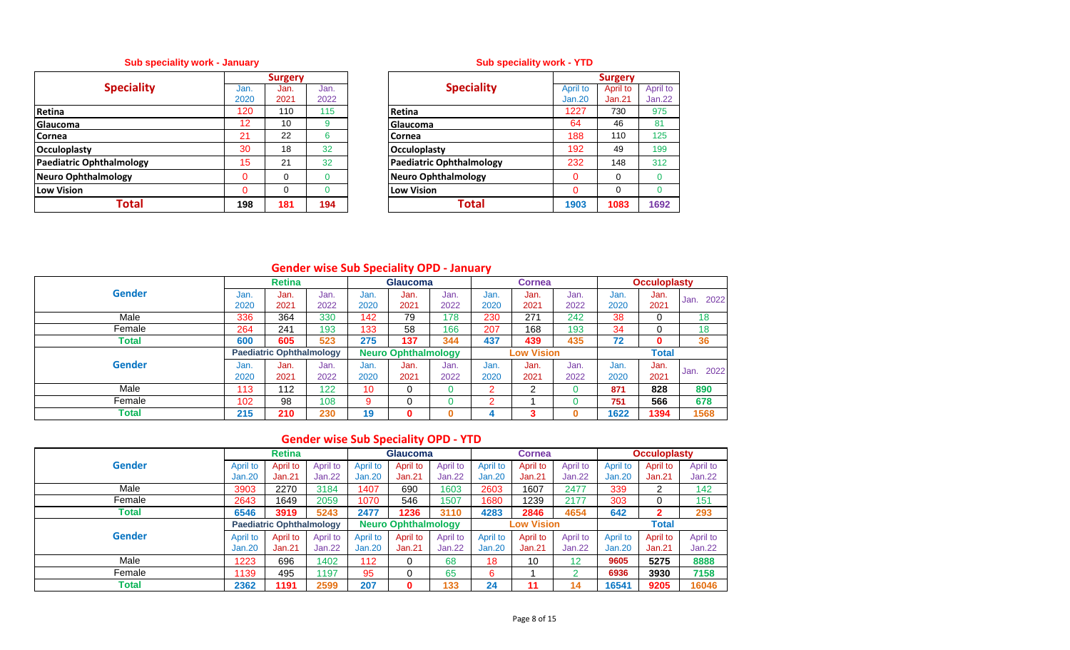# **Sub speciality work - January**

|                            |      | <b>Surgery</b> |      |                                 |
|----------------------------|------|----------------|------|---------------------------------|
| <b>Speciality</b>          | Jan. | Jan.           | Jan. | <b>Speciality</b>               |
|                            | 2020 | 2021           | 2022 |                                 |
| Retina                     | 120  | 110            | 115  | <b>Retina</b>                   |
| <b>Glaucoma</b>            | 12   | 10             | 9    | Glaucoma                        |
| <b>Cornea</b>              | 21   | 22             | 6    | Cornea                          |
| <b>Occuloplasty</b>        | 30   | 18             | 32   | Occuloplasty                    |
| Paediatric Ophthalmology   | 15   | 21             | 32   | <b>Paediatric Ophthalmology</b> |
| <b>Neuro Ophthalmology</b> | 0    | 0              |      | Neuro Ophthalmology             |
| <b>Low Vision</b>          | 0    | $\Omega$       |      | <b>Low Vision</b>               |
| Total                      | 198  | 181            | 194  | Total                           |

# **Sub speciality work - YTD**

|          | <b>Surgery</b> |      |                                 |          | <b>Surgery</b> |               |
|----------|----------------|------|---------------------------------|----------|----------------|---------------|
| Jan.     | Jan.           | Jan. | <b>Speciality</b>               | April to | April to       | April to      |
| 2020     | 2021           | 2022 |                                 | Jan.20   | Jan.21         | <b>Jan.22</b> |
| 120      | 110            | 115  | Retina                          | 1227     | 730            | 975           |
| 12       | 10             | 9    | Glaucoma                        | 64       | 46             | 81            |
| 21       | 22             | 6    | Cornea                          | 188      | 110            | 125           |
| 30       | 18             | 32   | Occuloplasty                    | 192      | 49             | 199           |
| 15       | 21             | 32   | <b>Paediatric Ophthalmology</b> | 232      | 148            | 312           |
| $\Omega$ | 0              | 0    | <b>Neuro Ophthalmology</b>      | 0        | 0              | $\Omega$      |
| $\Omega$ | 0              | 0    | <b>Low Vision</b>               | 0        | 0              | $\mathbf 0$   |
| 198      | 181            | 194  | Total                           | 1903     | 1083           | 1692          |
|          |                |      |                                 |          |                |               |

# **Gender wise Sub Speciality OPD - January**

|               |              | <b>Retina</b>                   |              |              | <b>Glaucoma</b>            |              |              | Cornea            |              |              | <b>Occuloplasty</b> |              |
|---------------|--------------|---------------------------------|--------------|--------------|----------------------------|--------------|--------------|-------------------|--------------|--------------|---------------------|--------------|
| <b>Gender</b> | Jan.         | Jan.                            | Jan.         | Jan.         | Jan.                       | Jan.         | Jan.         | Jan.              | Jan.         | Jan.         | Jan.                | 2022<br>Jan. |
|               | 2020         | 2021                            | 2022         | 2020         | 2021                       | 2022         | 2020         | 2021              | 2022         | 2020         | 2021                |              |
| Male          | 336          | 364                             | 330          | 142          | 79                         | 178          | 230          | 271               | 242          | 38           | 0                   | 18           |
| Female        | 264          | 241                             | 193          | 133          | 58                         | 166          | 207          | 168               | 193          | 34           | 0                   | 18           |
| <b>Total</b>  | 600          | 605                             | 523          | 275          | 137                        | 344          | 437          | 439               | 435          | 72           | 0                   | 36           |
|               |              | <b>Paediatric Ophthalmology</b> |              |              | <b>Neuro Ophthalmology</b> |              |              | <b>Low Vision</b> |              |              | <b>Total</b>        |              |
| <b>Gender</b> | Jan.<br>2020 | Jan.<br>2021                    | Jan.<br>2022 | Jan.<br>2020 | Jan.<br>2021               | Jan.<br>2022 | Jan.<br>2020 | Jan.<br>2021      | Jan.<br>2022 | Jan.<br>2020 | Jan.<br>2021        | 2022<br>Jan. |
| Male          | 113          | 112                             | 122          | 10           | 0                          |              | 2            | 2                 |              | 871          | 828                 | 890          |
| Female        | 102          | 98                              | 108          | 9            | 0                          |              | 2            |                   |              | 751          | 566                 | 678          |
| Total         | 215          | 210                             | 230          | 19           | 0                          |              |              | 3                 | 0            | 1622         | 1394                | 1568         |

# **Gender wise Sub Speciality OPD - YTD**

|               |          | <b>Retina</b>                   |          |               | <b>Glaucoma</b>            |          |               | <b>Cornea</b>     |               |               | <b>Occuloplasty</b> |          |
|---------------|----------|---------------------------------|----------|---------------|----------------------------|----------|---------------|-------------------|---------------|---------------|---------------------|----------|
| <b>Gender</b> | April to | April to                        | April to | April to      | April to                   | April to | April to      | April to          | April to      | April to      | April to            | April to |
|               | Jan.20   | <b>Jan.21</b>                   | Jan.22   | <b>Jan.20</b> | Jan.21                     | Jan.22   | <b>Jan.20</b> | Jan.21            | <b>Jan.22</b> | <b>Jan.20</b> | Jan.21              | Jan.22   |
| Male          | 3903     | 2270                            | 3184     | 1407          | 690                        | 1603     | 2603          | 1607              | 2477          | 339           | າ                   | 142      |
| Female        | 2643     | 1649                            | 2059     | 1070          | 546                        | 1507     | 1680          | 1239              | 2177          | 303           |                     | 151      |
| Total         | 6546     | 3919                            | 5243     | 2477          | 1236                       | 3110     | 4283          | 2846              | 4654          | 642           |                     | 293      |
|               |          | <b>Paediatric Ophthalmology</b> |          |               | <b>Neuro Ophthalmology</b> |          |               | <b>Low Vision</b> |               |               | <b>Total</b>        |          |
| <b>Gender</b> | April to | April to                        | April to | April to      | April to                   | April to | April to      | April to          | April to      | April to      | April to            | April to |
|               | Jan.20   | Jan.21                          | Jan.22   | Jan.20        | Jan.21                     | Jan.22   | <b>Jan.20</b> | Jan.21            | <b>Jan.22</b> | Jan.20        | Jan.21              | Jan.22   |
| Male          | 1223     | 696                             | 1402     | 112           | 0                          | 68       | 18            | 10                | 12            | 9605          | 5275                | 8888     |
| Female        | 1139     | 495                             | 1197     | 95            | 0                          | 65       | 6             |                   | $\sim$        | 6936          | 3930                | 7158     |
| Total         | 2362     | 1191                            | 2599     | 207           | 0                          | 133      | 24            | 11                |               | 16541         | 9205                | 16046    |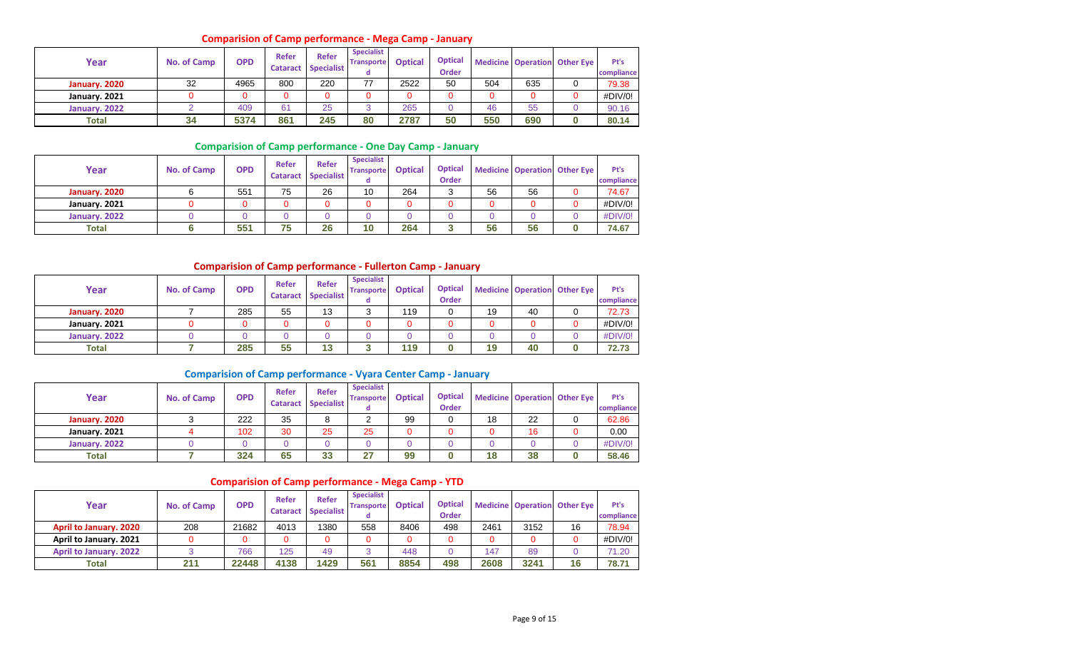#### **Comparision of Camp performance - Mega Camp - January**

| Year          | <b>No. of Camp</b> | <b>OPD</b> | Refer<br><b>Cataract</b> | Refer<br><b>Specialist</b> | <b>Specialist</b><br><b>Transporte</b> | <b>Optical</b> | <b>Optical</b><br>Order |     |     | <b>Medicine Operation Other Eye</b> | Pt's<br>compliance |
|---------------|--------------------|------------|--------------------------|----------------------------|----------------------------------------|----------------|-------------------------|-----|-----|-------------------------------------|--------------------|
| January. 2020 | 32                 | 4965       | 800                      | 220                        | 77                                     | 2522           | 50                      | 504 | 635 |                                     | 79.38              |
| January. 2021 |                    |            |                          | 0                          |                                        |                |                         |     |     |                                     | #DIV/0!            |
| January. 2022 |                    | 409        | 61                       | 25                         |                                        | 265            |                         | 46  | 55  |                                     | 90.16              |
| <b>Total</b>  | 34                 | 5374       | 861                      | 245                        | 80                                     | 2787           | 50                      | 550 | 690 |                                     | 80.14              |

#### **Comparision of Camp performance - One Day Camp - January**

| Year          | No. of Camp | <b>OPD</b> | Refer<br><b>Cataract</b> | <b>Refer</b><br><b>Specialist</b> | <b>Specialist</b><br><b>Transporte</b><br>α | <b>Optical</b> | <b>Optical</b><br><b>Order</b> |    |    | Medicine Operation Other Eye | Pt's<br>compliance |
|---------------|-------------|------------|--------------------------|-----------------------------------|---------------------------------------------|----------------|--------------------------------|----|----|------------------------------|--------------------|
| January. 2020 |             | 551        | 75                       | 26                                | 10                                          | 264            | ບ                              | 56 | 56 |                              | 74.67              |
| January. 2021 |             | 0          |                          |                                   |                                             |                |                                |    |    |                              | #DIV/0!            |
| January. 2022 |             |            |                          |                                   |                                             |                |                                |    |    |                              | #DIV/0!            |
| <b>Total</b>  |             | 551        | 75                       | 26                                | 10                                          | 264            |                                | 56 | 56 |                              | 74.67              |

#### **Comparision of Camp performance - Fullerton Camp - January**

| Year          | No. of Camp | <b>OPD</b> | Refer<br><b>Cataract</b> | Refer<br>Specialist | <b>Specialist</b><br><b>Transporte</b> | <b>Optical</b> | <b>Optical</b><br><b>Order</b> |    |    | <b>Medicine Operation Other Eye</b> | Pt's<br>compliance |
|---------------|-------------|------------|--------------------------|---------------------|----------------------------------------|----------------|--------------------------------|----|----|-------------------------------------|--------------------|
| January. 2020 |             | 285        | 55                       | 13                  |                                        | 119            |                                | 19 | 40 |                                     | 72.73              |
| January. 2021 |             |            |                          | 0                   |                                        |                |                                |    |    |                                     | #DIV/0!            |
| January. 2022 |             |            |                          |                     |                                        |                |                                |    |    |                                     | #DIV/0!            |
| <b>Total</b>  |             | 285        | 55                       | 13                  |                                        | 119            |                                | 19 | 40 |                                     | 72.73              |

## **Comparision of Camp performance - Vyara Center Camp - January**

| Year          | No. of Camp | <b>OPD</b> | Refer<br><b>Cataract</b> | <b>Refer</b><br>Specialist | <b>Specialist</b><br><b>Transporte</b> | <b>Optical</b> | <b>Optical</b><br><b>Order</b> |    |    | <b>Medicine Operation Other Eye</b> | Pt's<br>compliance |
|---------------|-------------|------------|--------------------------|----------------------------|----------------------------------------|----------------|--------------------------------|----|----|-------------------------------------|--------------------|
| January. 2020 |             | 222        | 35                       |                            |                                        | 99             |                                | 18 | 22 |                                     | 62.86              |
| January. 2021 |             | 102        | 30                       | 25                         | 25                                     |                |                                |    | 16 |                                     | 0.00               |
| January. 2022 |             |            |                          |                            |                                        |                |                                |    |    |                                     | #DIV/0!            |
| Total         |             | 324        | 65                       | 33                         | 27                                     | 99             |                                | 18 | 38 |                                     | 58.46              |

## **Comparision of Camp performance - Mega Camp - YTD**

| Year                          | No. of Camp | <b>OPD</b> | Refer | <b>Refer</b><br><b>Cataract Specialist</b> | <b>Specialist</b><br><b>Transporte</b> | <b>Optical</b> | <b>Optical</b><br><b>Order</b> |      |      | <b>Medicine Operation Other Eye</b> | Pt's<br>compliance |
|-------------------------------|-------------|------------|-------|--------------------------------------------|----------------------------------------|----------------|--------------------------------|------|------|-------------------------------------|--------------------|
| <b>April to January. 2020</b> | 208         | 21682      | 4013  | 1380                                       | 558                                    | 8406           | 498                            | 2461 | 3152 | 16                                  | 78.94              |
| April to January. 2021        |             | 0          |       |                                            |                                        |                |                                |      |      |                                     | #DIV/0!            |
| <b>April to January. 2022</b> |             | 766        | 125   | 49                                         |                                        | 448            |                                | 147  | 89   |                                     | 71.20              |
| Total                         | 211         | 22448      | 4138  | 1429                                       | 561                                    | 8854           | 498                            | 2608 | 3241 | 16                                  | 78.71              |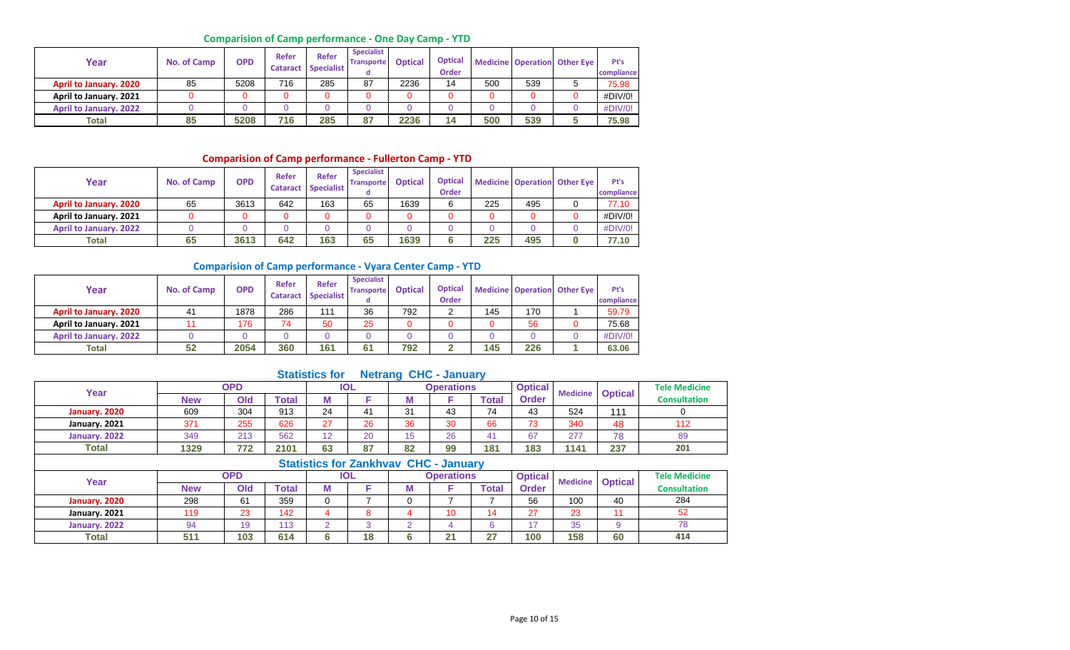# **Comparision of Camp performance - One Day Camp - YTD**

| Year                          | No. of Camp | <b>OPD</b> | Refer<br><b>Cataract</b> | Refer<br><b>Specialist</b> | <b>Specialist</b><br><b>Transporte</b> | <b>Optical</b> | <b>Optical</b><br><b>Order</b> |     |     | <b>Medicine Operation Other Eye</b> | Pt's<br>compliance |
|-------------------------------|-------------|------------|--------------------------|----------------------------|----------------------------------------|----------------|--------------------------------|-----|-----|-------------------------------------|--------------------|
| <b>April to January. 2020</b> | 85          | 5208       | 716                      | 285                        | 87                                     | 2236           | 14                             | 500 | 539 |                                     | 75.98              |
| April to January. 2021        |             |            |                          | 0                          |                                        |                |                                |     |     |                                     | #DIV/0!            |
| <b>April to January. 2022</b> |             |            |                          |                            |                                        |                |                                |     |     |                                     | #DIV/0!            |
| Total                         | 85          | 5208       | 716                      | 285                        | 87                                     | 2236           | 14                             | 500 | 539 |                                     | 75.98              |

# **Comparision of Camp performance - Fullerton Camp - YTD**

| Year                          | No. of Camp | <b>OPD</b> | Refer<br><b>Cataract</b> | <b>Refer</b><br><b>Specialist</b> | <b>Specialist</b><br><b>Transporte</b> | <b>Optical</b> | <b>Optical</b><br>Order |     |     | <b>Medicine Operation Other Eye</b> | Pt's<br>compliance |
|-------------------------------|-------------|------------|--------------------------|-----------------------------------|----------------------------------------|----------------|-------------------------|-----|-----|-------------------------------------|--------------------|
| <b>April to January. 2020</b> | 65          | 3613       | 642                      | 163                               | 65                                     | 1639           |                         | 225 | 495 |                                     | 77.10              |
| April to January. 2021        |             |            |                          |                                   |                                        |                |                         |     |     |                                     | #DIV/0!            |
| <b>April to January. 2022</b> |             |            |                          |                                   |                                        |                |                         |     |     |                                     | #DIV/0!            |
| <b>Total</b>                  | 65          | 3613       | 642                      | 163                               | 65                                     | 1639           |                         | 225 | 495 |                                     | 77.10              |

#### **Comparision of Camp performance - Vyara Center Camp - YTD**

| Year                          | No. of Camp | <b>OPD</b> | Refer<br><b>Cataract</b> | <b>Refer</b><br>Specialist | <b>Specialist</b><br><b>Transporte</b><br>a | <b>Optical</b> | <b>Optical</b><br><b>Order</b> |     |     | <b>Medicine Operation Other Eye</b> | Pt's<br>compliance |
|-------------------------------|-------------|------------|--------------------------|----------------------------|---------------------------------------------|----------------|--------------------------------|-----|-----|-------------------------------------|--------------------|
| <b>April to January. 2020</b> | 41          | 1878       | 286                      | 111                        | 36                                          | 792            |                                | 145 | 170 |                                     | 59.79              |
| April to January. 2021        |             | 176        | 74                       | 50                         | 25                                          |                |                                |     | 56  |                                     | 75.68              |
| <b>April to January. 2022</b> |             |            |                          |                            |                                             |                |                                |     |     |                                     | #DIV/0!            |
| Total                         | 52          | 2054       | 360                      | 161                        | 61                                          | 792            |                                | 145 | 226 |                                     | 63.06              |

# **Statistics for Netrang CHC - January**

| Year          |            | OPD |               |    | <b>IOL</b> |                               | <b>Operations</b> |              | <b>Optical</b> | <b>Medicine</b> | <b>Optical</b> | <b>Tele Medicine</b> |
|---------------|------------|-----|---------------|----|------------|-------------------------------|-------------------|--------------|----------------|-----------------|----------------|----------------------|
|               | <b>New</b> | Old | <b>c</b> otal | M  |            | IМ                            |                   | <b>Total</b> | <b>Order</b>   |                 |                | <b>Consultation</b>  |
| January, 2020 | 609        | 304 | 913           | 24 | 41         | 31                            | 43                | 74           | 43             | 524             | 111            |                      |
| January. 2021 | 371        | 255 | 626           | 27 | 26         | 36                            | 30                | 66           | 73             | 340             | 48             | 112                  |
| January. 2022 | 349        | 213 | 562           | 12 | 20         |                               | 26                |              | 67             | 277             | 78             | 89                   |
| Total         | 1329       | 772 | 2101          | 63 | 87         | 82                            | 99                | 181          | 183            | 1141            | 237            | 201                  |
|               |            |     |               |    |            | Chatiation for Zonichian: CUC | <b>Lowershire</b> |              |                |                 |                |                      |

|               |            |     |       |   |            | Statistics for Zanknyay CHC - January |                   |       |                |     |                         |                      |
|---------------|------------|-----|-------|---|------------|---------------------------------------|-------------------|-------|----------------|-----|-------------------------|----------------------|
| Year          |            | OPD |       |   | <b>IOL</b> |                                       | <b>Operations</b> |       | <b>Optical</b> |     | <b>Medicine Optical</b> | <b>Tele Medicine</b> |
|               | <b>New</b> | Old | Total | w |            | M                                     |                   | Гоtal | <b>Order</b>   |     |                         | <b>Consultation</b>  |
| January. 2020 | 298        | 61  | 359   |   |            |                                       |                   |       | 56             | 100 | 40                      | 284                  |
| January. 2021 | 119        | 23  | 142   |   |            |                                       |                   | 14    | 27             | 23  |                         | 52                   |
| January. 2022 | 94         | 19  | 113   |   |            |                                       |                   |       | $\overline{ }$ | 35  |                         | 78                   |
| Total         | 51'        | 103 | 614   |   | 18         | 6                                     | n.<br>∠           |       | 100            | 158 | 60                      | 414                  |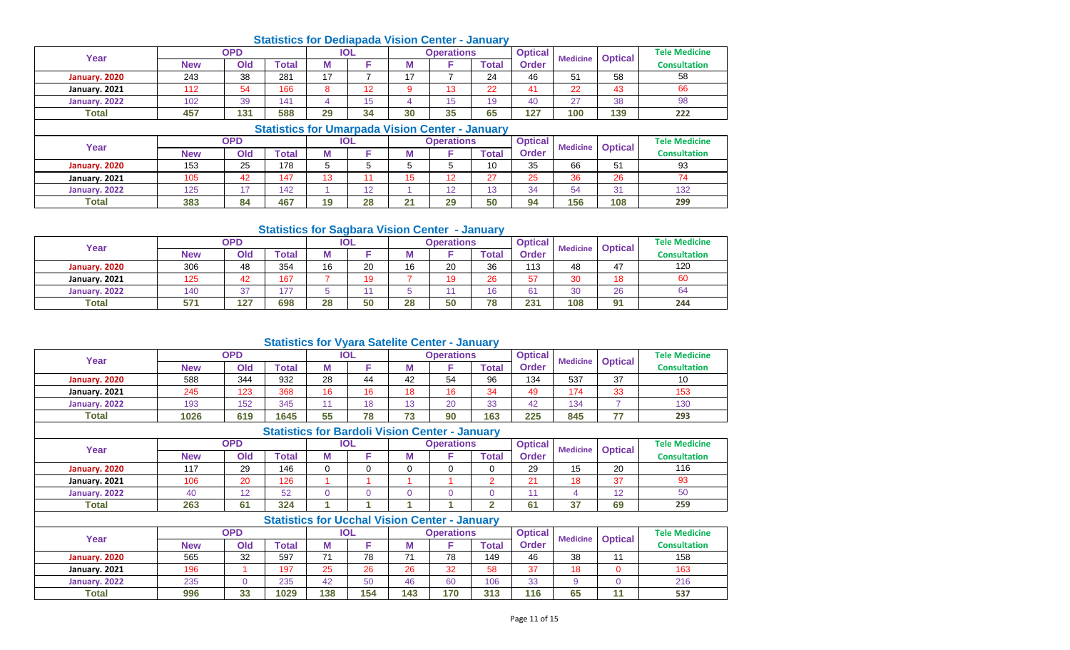|               |            |            |              |    |            |    | <b>Statistics for Dediapada Vision Center - January</b> |              |                |                 |                |                      |
|---------------|------------|------------|--------------|----|------------|----|---------------------------------------------------------|--------------|----------------|-----------------|----------------|----------------------|
| Year          |            | <b>OPD</b> |              |    | <b>IOL</b> |    | <b>Operations</b>                                       |              | <b>Optical</b> | <b>Medicine</b> |                | <b>Tele Medicine</b> |
|               | <b>New</b> | Old        | <b>Total</b> | М  |            | М  |                                                         | <b>Total</b> | <b>Order</b>   |                 | <b>Optical</b> | <b>Consultation</b>  |
| January. 2020 | 243        | 38         | 281          | 17 |            | 17 |                                                         | 24           | 46             | 51              | 58             | 58                   |
| January. 2021 | 112        | 54         | 166          | 8  | 12         | 9  | 13                                                      | 22           | 41             | 22              | 43             | 66                   |
| January. 2022 | 102        | 39         | 141          | 4  | 15         | 4  | 15                                                      | 19           | 40             | 27              | 38             | 98                   |
| <b>Total</b>  | 457        | 131        | 588          | 29 | 34         | 30 | 35                                                      | 65           | 127            | 100             | 139            | 222                  |
|               |            |            |              |    |            |    | <b>Statistics for Umarpada Vision Center - January</b>  |              |                |                 |                |                      |
| Year          |            | <b>OPD</b> |              |    | <b>IOL</b> |    | <b>Operations</b>                                       |              | <b>Optical</b> | <b>Medicine</b> |                | <b>Tele Medicine</b> |
|               | <b>New</b> | Old        | <b>Total</b> | M  |            | М  |                                                         | <b>Total</b> | <b>Order</b>   |                 | <b>Optical</b> | <b>Consultation</b>  |
| January. 2020 | 153        | 25         | 178          | 5  | 5          | 5  | 5                                                       | 10           | 35             | 66              | 51             | 93                   |
| January. 2021 | 105        | 42         | 147          | 13 | 11         | 15 | 12                                                      | 27           | 25             | 36              | 26             | 74                   |
|               |            |            |              |    |            |    |                                                         |              |                |                 |                |                      |

# **Statistics for Sagbara Vision Center - January**

**January. 2022** 125 126 17 142 1 12 12 12 13 34 54 31 **Total 383 84 467 19 28 21 29 50 94 156 108**

|               |            |     | <b>Statistics Tor Saybard Vision Center - January</b> |    |     |    |                   |       |                |                 |                |                      |
|---------------|------------|-----|-------------------------------------------------------|----|-----|----|-------------------|-------|----------------|-----------------|----------------|----------------------|
| Year          |            | OPD |                                                       |    | IOL |    | <b>Operations</b> |       | <b>Optical</b> | <b>Medicine</b> | <b>Optical</b> | <b>Tele Medicine</b> |
|               | <b>New</b> | Old | <b>Total</b>                                          | M  |     | М  |                   | Total | Order          |                 |                | <b>Consultation</b>  |
| January. 2020 | 306        | 48  | 354                                                   | 16 | 20  | 16 | 20                | 36    | 113            | 48              | 47             | 120                  |
| January. 2021 | 125        | 42  | 167                                                   |    | 19  |    |                   | 26    | 57             | 30              | 18             | 60                   |
| January. 2022 | 140        | 37  | 177                                                   |    |     |    |                   | 16    | 61             | 30              | 26             | 64                   |
| <b>Total</b>  | 571        | 127 | 698                                                   | 28 | 50  | 28 | 50                | 78    | 231            | 108             | 91             | 244                  |

## **Statistics for Vyara Satelite Center - January**

| Year          |            | <b>OPD</b> |              |    | <b>IOL</b> |    | <b>Operations</b> |       | <b>Optical</b> | <b>Medicine</b> | <b>Optical</b> | <b>Tele Medicine</b> |
|---------------|------------|------------|--------------|----|------------|----|-------------------|-------|----------------|-----------------|----------------|----------------------|
|               | <b>New</b> | Old        | <b>Total</b> | M  |            | M  |                   | Total | Order          |                 |                | <b>Consultation</b>  |
| January. 2020 | 588        | 344        | 932          | 28 | 44         | 42 | 54                | 96    | 134            | 537             | 37             | 10                   |
| January. 2021 | 245        | 123        | 368          | 16 | 16         | 18 | 16                | 34    | 49             | 174             | 33             | 153                  |
| January. 2022 | 193        | 152        | 345          |    | 18         | 13 | 20                | 33    | 42             | 134             |                | 130                  |
| <b>Total</b>  | 1026       | 619        | 1645         | 55 | 78         | 73 | 90                | 163   | 225            | 845             | وساجب          | 293                  |

# **Statistics for Bardoli Vision Center - January**

| Year          |            | <b>OPD</b> |       |   | <b>IOL</b> |   | <b>Operations</b> |       | <b>Optical</b> | <b>Medicine</b> | <b>Optical</b> | <b>Tele Medicine</b> |
|---------------|------------|------------|-------|---|------------|---|-------------------|-------|----------------|-----------------|----------------|----------------------|
|               | <b>New</b> | Old        | Total | M |            | M |                   | Total | <b>Order</b>   |                 |                | <b>Consultation</b>  |
| January. 2020 | 117        | 29         | 146   |   |            |   |                   |       | 29             | 15<br>ں ا       | 20             | 116                  |
| January. 2021 | 106        | 20         | 126   |   |            |   |                   |       | $\sim$         | 18              | 37             | 93                   |
| January. 2022 |            | $\sqrt{2}$ | 52    |   |            |   |                   |       |                |                 | $\overline{ }$ | 50                   |
| <b>Total</b>  | 263        | 61         | 324   |   |            |   |                   |       | 61             | 27<br>ັບ        | 69             | 259                  |

|               |            |            | <b>Statistics for Ucchal Vision Center - January</b> |     |            |     |                   |       |                |                 |                |                      |
|---------------|------------|------------|------------------------------------------------------|-----|------------|-----|-------------------|-------|----------------|-----------------|----------------|----------------------|
| Year          |            | <b>OPD</b> |                                                      |     | <b>IOL</b> |     | <b>Operations</b> |       | <b>Optical</b> | <b>Medicine</b> | <b>Optical</b> | <b>Tele Medicine</b> |
|               | <b>New</b> | Old        | Total                                                |     |            | M   |                   | Total | <b>Order</b>   |                 |                | <b>Consultation</b>  |
| January. 2020 | 565        | 32         | 597                                                  |     | 78         |     | 78                | 149   | 46             | 38              |                | 158                  |
| January. 2021 | 196        |            | 197                                                  | 25  | 26         | 26  | 32                | 58    | 37             | 18              |                | 163                  |
| January. 2022 | 235        |            | 235                                                  | 42  | 50         | 46  | 60                | 106   | 33             |                 |                | 216                  |
| <b>Total</b>  | 996        | 33         | 1029                                                 | 138 | 154        | 143 | 170               | 313   | 116            | 65              | 11             | 537                  |

132 **299**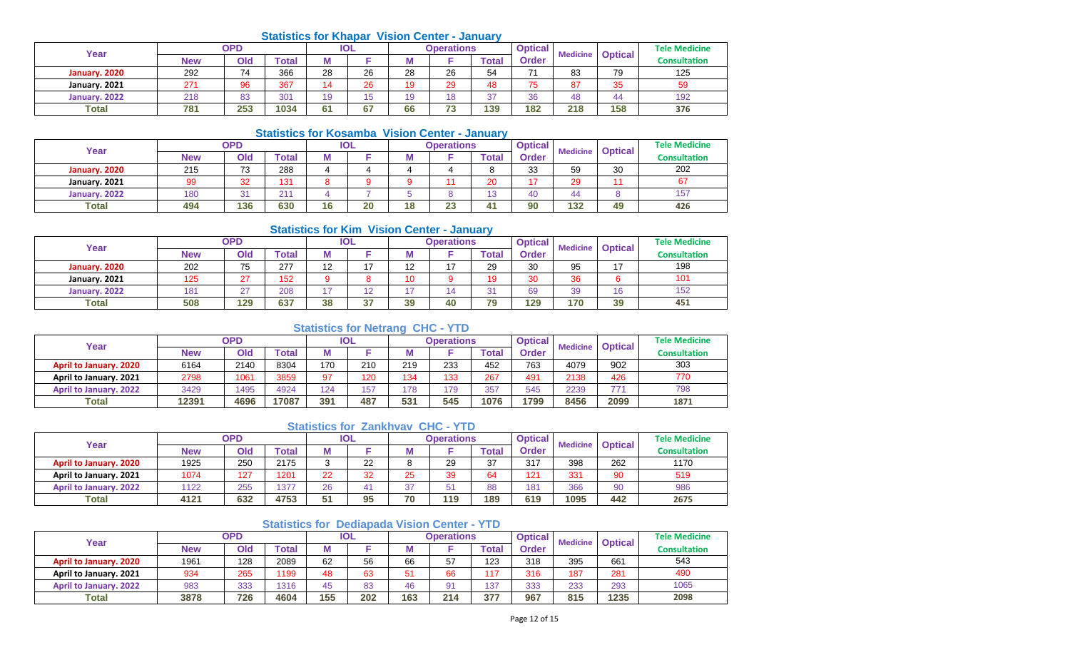# **Statistics for Khapar Vision Center - January**

| Year          |            | <b>OPD</b> |              |    | <b>IOL</b> |    | <b>Operations</b>               |       | <b>Optical</b> | <b>Medicine</b> | <b>Optical</b> | <b>Tele Medicine</b> |
|---------------|------------|------------|--------------|----|------------|----|---------------------------------|-------|----------------|-----------------|----------------|----------------------|
|               | <b>New</b> | Old        | <b>Total</b> | M  |            | М  |                                 | Total | Order          |                 |                | <b>Consultation</b>  |
| January, 2020 | 292        | 74         | 366          | 28 | 26         | 28 | 26                              | 54    | 71             | 83              | 79             | 125                  |
| January. 2021 | 271        | 96         | 367          |    | 26         |    | 29                              | 48    | 75             | 87              | 35             | 59                   |
| January, 2022 | 218        | 83         | 301          | 19 | 15         |    |                                 | 37    | 36             | 48              | 44             | 192                  |
| <b>Total</b>  | 781        | 253        | 1034         | 61 | 67         | 66 | $\overline{\phantom{a}}$<br>. . | 139   | 182            | 218             | 158            | 376                  |

# **Statistics for Kosamba Vision Center - January**

|               |     |                 | <u>UMMONUS IUI INUSUIIIDU TISIUII UUIIMI</u> |    |            |    |                   | <b>VALIMAL</b> |                |     |                         |                      |
|---------------|-----|-----------------|----------------------------------------------|----|------------|----|-------------------|----------------|----------------|-----|-------------------------|----------------------|
| Year          |     | <b>OPD</b>      |                                              |    | <b>IOL</b> |    | <b>Operations</b> |                | <b>Optical</b> |     | <b>Medicine Optical</b> | <b>Tele Medicine</b> |
|               | New | Old             | <b>Total</b>                                 |    |            |    |                   | <b>Total</b>   | <b>Order</b>   |     |                         | <b>Consultation</b>  |
| January. 2020 | 215 | 73              | 288                                          |    |            |    |                   |                | 33             | 59  | 30                      | 202                  |
| January. 2021 | 99  | 32              | 131                                          |    |            |    |                   | 20             | 17             | 29  |                         | 67                   |
| January, 2022 | 180 | $\Omega$<br>. ت | 211                                          |    |            |    |                   | 13             | 40             | 44  |                         | 157                  |
| <b>Total</b>  | 494 | 136             | 630                                          | 16 | 20         | 18 | 23                | 41             | 90             | 132 | 49                      | 426                  |

## **Statistics for Kim Vision Center - January**

| Year          |     | <b>OPD</b> |                           |                          | IOL |                   | <b>Operations</b> |             | <b>Optical</b> | <b>Medicine</b> | <b>Optical</b> | <b>Tele Medicine</b> |
|---------------|-----|------------|---------------------------|--------------------------|-----|-------------------|-------------------|-------------|----------------|-----------------|----------------|----------------------|
|               | New | Old        | $\mathop{\mathsf{Total}}$ | М                        |     | IМ                |                   | $\tau$ otal | <b>Order</b>   |                 |                | <b>Consultation</b>  |
| January. 2020 | 202 | 75         | 277                       | $\overline{ }$<br>' -    |     | $\sqrt{2}$<br>$-$ | $\overline{ }$    | 29          | 30             | 95              | 17             | 198                  |
| January. 2021 | 125 | $\sim$     | 152                       |                          |     |                   |                   | 10          | 30             | 36              |                | 101                  |
| January, 2022 | 181 | $\sim$     | 208                       | $\overline{\phantom{a}}$ | ┕   | ィー                |                   | 31          | 69             | 39              | 16             | 152                  |
| <b>Total</b>  | 508 | 129        | 637                       | 38                       | 37  | 39                | 40                | 79          | 129            | 170             | 39             | 451                  |

# **Statistics for Netrang CHC - YTD**

| Year                          |       | OPD  |       |     | <b>IOL</b> |     | Operations |       | <b>Optical</b> | <b>Medicine</b> | <b>Optical</b> | <b>Tele Medicine</b> |
|-------------------------------|-------|------|-------|-----|------------|-----|------------|-------|----------------|-----------------|----------------|----------------------|
|                               | New   | Old  | Total |     |            | IΜ  |            | Total | Order          |                 |                | <b>Consultation</b>  |
| <b>April to January. 2020</b> | 6164  | 2140 | 8304  | 170 | 210        | 219 | 233        | 452   | 763            | 4079            | 902            | 303                  |
| April to January. 2021        | 2798  | 1061 | 3859  | 97  | 120        | 134 | 133        | 267   | 491            | 2138            | 426            | 770                  |
| <b>April to January, 2022</b> | 3429  | 1495 | 4924  | 124 | 157        | 178 | 179        | 357   | 545            | 2239            | 77.            | 798                  |
| Total                         | 12391 | 4696 | 17087 | 391 | 487        | 531 | 545        | 1076  | 1799           | 8456            | 2099           | 1871                 |

## **Statistics for Zankhvav CHC - YTD**

| Year                          |            | <b>OPD</b> |       |    | IOL |        | Operations |       | <b>Optical</b> | <b>Medicine</b> | <b>Optical</b> | <b>Tele Medicine</b> |
|-------------------------------|------------|------------|-------|----|-----|--------|------------|-------|----------------|-----------------|----------------|----------------------|
|                               | <b>New</b> | Old        | Total | M  |     | M      |            | Total | Order          |                 |                | <b>Consultation</b>  |
| <b>April to January, 2020</b> | 1925       | 250        | 2175  |    | 22  | o<br>o | 29         | 37    | 317            | 398             | 262            | 1170                 |
| April to January. 2021        | 1074       | 127        | 1201  | 22 | 32  | 25     | 39         | 64    | 121            | 331             | 90             | 519                  |
| <b>April to January. 2022</b> | 1122       | 255        | 1377  | 26 |     | 37     | mи         | 88    | 181            | 366             | 90             | 986                  |
| <b>Total</b>                  | 4121       | 632        | 4753  | 51 | 95  | 70     | 119        | 189   | 619            | 1095            | 442            | 2675                 |

# **Statistics for Dediapada Vision Center - YTD**

| Year                          | <b>OPD</b> |     |       | <b>IOL</b> |     | Operations |     |       | <b>Optical</b> | <b>Medicine</b> | <b>Optical</b> | <b>Tele Medicine</b> |
|-------------------------------|------------|-----|-------|------------|-----|------------|-----|-------|----------------|-----------------|----------------|----------------------|
|                               | <b>New</b> | Old | Total |            |     | w          |     | `otal | <b>Order</b>   |                 |                | <b>Consultation</b>  |
| <b>April to January. 2020</b> | 1961       | 128 | 2089  | 62         | 56  | 66         | 57  | 123   | 318            | 395             | 661            | 543                  |
| April to January. 2021        | 934        | 265 | 1199  | 48         | 63  | 51         | 66  | 117   | 316            | 187             | 281            | 490                  |
| <b>April to January. 2022</b> | 983        | 333 | 1316  | 45         | 83  | 46         |     | 137   | 333            | 233             | 293            | 1065                 |
| <b>Total</b>                  | 3878       | 726 | 4604  | 155        | 202 | 163        | 214 | 377   | 967            | 815             | 1235           | 2098                 |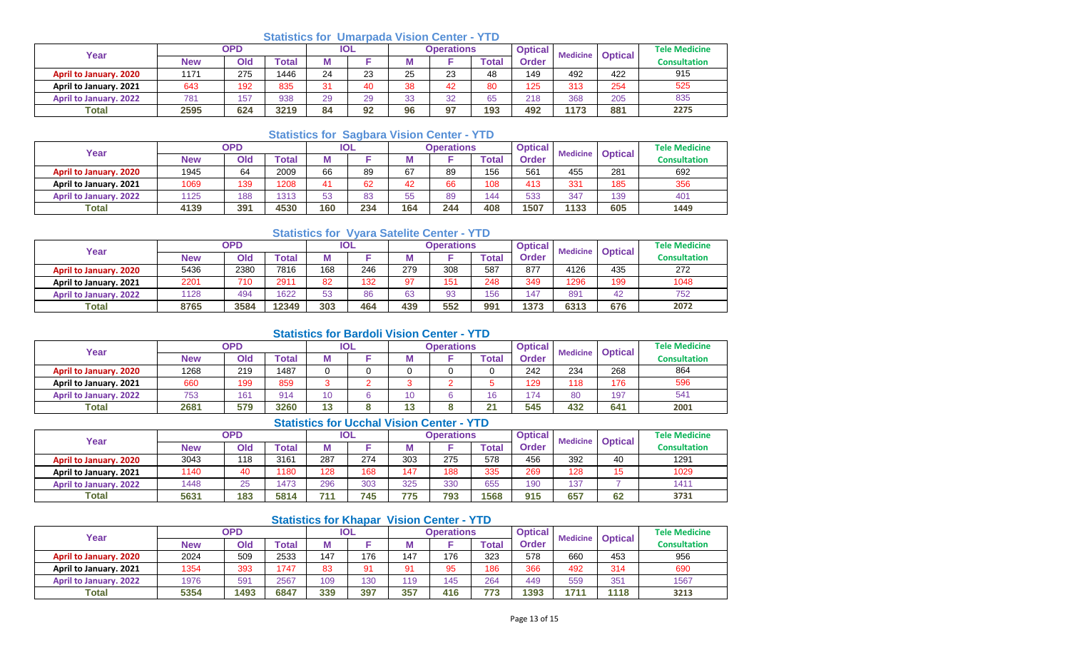# **Statistics for Umarpada Vision Center - YTD**

| Year                          | <b>OPD</b> |     |                  | IOL |    | Operations |    |       | <b>Optical</b> | <b>Medicine</b> |                | <b>Tele Medicine</b> |
|-------------------------------|------------|-----|------------------|-----|----|------------|----|-------|----------------|-----------------|----------------|----------------------|
|                               | <b>New</b> | Old | $\mathsf{Total}$ | M   |    |            |    | Total | <b>Order</b>   |                 | <b>Optical</b> | <b>Consultation</b>  |
| <b>April to January. 2020</b> | 1171       | 275 | 1446             | 24  | 23 | 25         | 23 | 48    | 149            | 492             | 422            | 915                  |
| April to January. 2021        | 643        | 192 | 835              | 24  | 40 | 38         | 42 | 80    | 125            | 313             | 254            | 525                  |
| <b>April to January. 2022</b> | 781        | 157 | 938              | 29  | 29 | 22<br>vu   | 32 | 65    | 218            | 368             | 205            | 835                  |
| Total                         | 2595       | 624 | 3219             | 84  | 92 | 96         | 97 | 193   | 492            | 1173            | 881            | 2275                 |

# **Statistics for Sagbara Vision Center - YTD**

| Year                          | <b>OPD</b> |     |       | <b>IOL</b> |     | Operations |     |             | <b>Optical</b> | <b>Medicine</b> | <b>Optical</b> | <b>Tele Medicine</b> |
|-------------------------------|------------|-----|-------|------------|-----|------------|-----|-------------|----------------|-----------------|----------------|----------------------|
|                               | <b>New</b> | Ola | Total | M          |     | M          |     | $\tau$ otal | Order          |                 |                | <b>Consultation</b>  |
| <b>April to January. 2020</b> | 1945       | 64  | 2009  | 66         | 89  | 67         | 89  | 156         | 561            | 455             | 281            | 692                  |
| April to January. 2021        | 1069       | 139 | 1208  | 41         | 62  | 42         | 66  | 108         | 413            | 331             | 185            | 356                  |
| <b>April to January. 2022</b> | 1125       | 188 | 1313  | 53         | 83  | 55         | 89  | 144         | 533            | 347             | 139            | 401                  |
| <b>Total</b>                  | 4139       | 391 | 4530  | 160        | 234 | 164        | 244 | 408         | 1507           | 1133            | 605            | 1449                 |

# **Statistics for Vyara Satelite Center - YTD**

| Year                          | OPD  |      |              | <b>IOL</b> |     | <b>Operations</b> |     |              | <b>Optical</b><br><b>Medicine</b> |      | <b>Optical</b> | <b>Tele Medicine</b> |
|-------------------------------|------|------|--------------|------------|-----|-------------------|-----|--------------|-----------------------------------|------|----------------|----------------------|
|                               | New  | Old  | <b>Total</b> |            |     |                   |     | <b>Total</b> | <b>Order</b>                      |      |                | <b>Consultation</b>  |
| April to January. 2020        | 5436 | 2380 | 7816         | 168        | 246 | 279               | 308 | 587          | 877                               | 4126 | 435            | 272                  |
| April to January. 2021        | 2201 | 710  | 2911         | 82         | 132 | 67                | 151 | 248          | 349                               | 1296 | 199            | 1048                 |
| <b>April to January. 2022</b> | 1128 | 494  | 1622         | 53         | 86  | 63                | 93  | 156          | 147                               | 891  | 42             | 752                  |
| <b>Total</b>                  | 8765 | 3584 | 12349        | 303        | 464 | 439               | 552 | 991          | 1373                              | 6313 | 676            | 2072                 |

## **Statistics for Bardoli Vision Center - YTD**

| Year                          | <b>OPD</b> |     |       | IOL |  |     | Operations |              | <b>Optical</b> | <b>Medicine</b> | <b>Optical</b> | <b>Tele Medicine</b> |
|-------------------------------|------------|-----|-------|-----|--|-----|------------|--------------|----------------|-----------------|----------------|----------------------|
|                               | New        | Old | 'otal | Μ   |  | IVI |            | <b>Total</b> | <b>Order</b>   |                 |                | <b>Consultation</b>  |
| April to January. 2020        | 1268       | 219 | 1487  |     |  |     |            |              | 242            | 234             | 268            | 864                  |
| April to January. 2021        | 660        | 199 | 859   |     |  |     |            |              | 129            | 118             | 176            | 596                  |
| <b>April to January. 2022</b> | 753        | 161 | 914   |     |  | 10  |            | 16           | 174            | 80              | 197            | 541                  |
| <b>Total</b>                  | 2681       | 579 | 3260  | 13  |  | 13  |            | ሳላ<br>-      | 545            | 432             | 641            | 2001                 |

# **Statistics for Ucchal Vision Center - YTD**

| Year                          | <b>OPD</b> |     |       | IOL |     | <b>Operations</b> |     |       | <b>Optical</b> | <b>Medicine</b> | <b>Optical</b> | <b>Tele Medicine</b> |
|-------------------------------|------------|-----|-------|-----|-----|-------------------|-----|-------|----------------|-----------------|----------------|----------------------|
|                               | New        | Old | Total | М   |     | . .               |     | Total | <b>Order</b>   |                 |                | <b>Consultation</b>  |
| April to January. 2020        | 3043       | 118 | 3161  | 287 | 274 | 303               | 275 | 578   | 456            | 392             | 40             | 1291                 |
| April to January. 2021        | 1140       | 40  | 1180  | 128 | 168 | 147               | 188 | 335   | 269            | 128             | <b>4 F</b>     | 1029                 |
| <b>April to January. 2022</b> | 1448       | 25  | 1473  | 296 | 303 | 325               | 330 | 655   | 190            | 137             |                | 1411                 |
| <b>Total</b>                  | 5631       | 183 | 5814  | 711 | 745 | 775               | 793 | 1568  | 915            | 657             | 62             | 3731                 |

# **Statistics for Khapar Vision Center - YTD**

| Year                          | OPD        |      |             | <b>IOL</b> |     | <b>Operations</b> |     |              | <b>Optical</b> | <b>Medicine</b> | <b>Optical</b> | <b>Tele Medicine</b> |
|-------------------------------|------------|------|-------------|------------|-----|-------------------|-----|--------------|----------------|-----------------|----------------|----------------------|
|                               | <b>New</b> | Old  | $\tau$ otal |            |     |                   |     | <b>Total</b> | <b>Order</b>   |                 |                | <b>Consultation</b>  |
| April to January. 2020        | 2024       | 509  | 2533        | 147        | 176 | 147               | 176 | 323          | 578            | 660             | 453            | 956                  |
| April to January. 2021        | 1354       | 393  | 1747        | 83         | 91  | 91                | 95  | 186          | 366            | 492             | 314            | 690                  |
| <b>April to January. 2022</b> | 1976       | 59'  | 2567        | 109        | 130 | 110               | 45  | 264          | 449            | 559             | 351            | 1567                 |
| <b>Total</b>                  | 5354       | 1493 | 6847        | 339        | 397 | 357               | 416 | 773          | 1393           | 1711            | 1118           | 3213                 |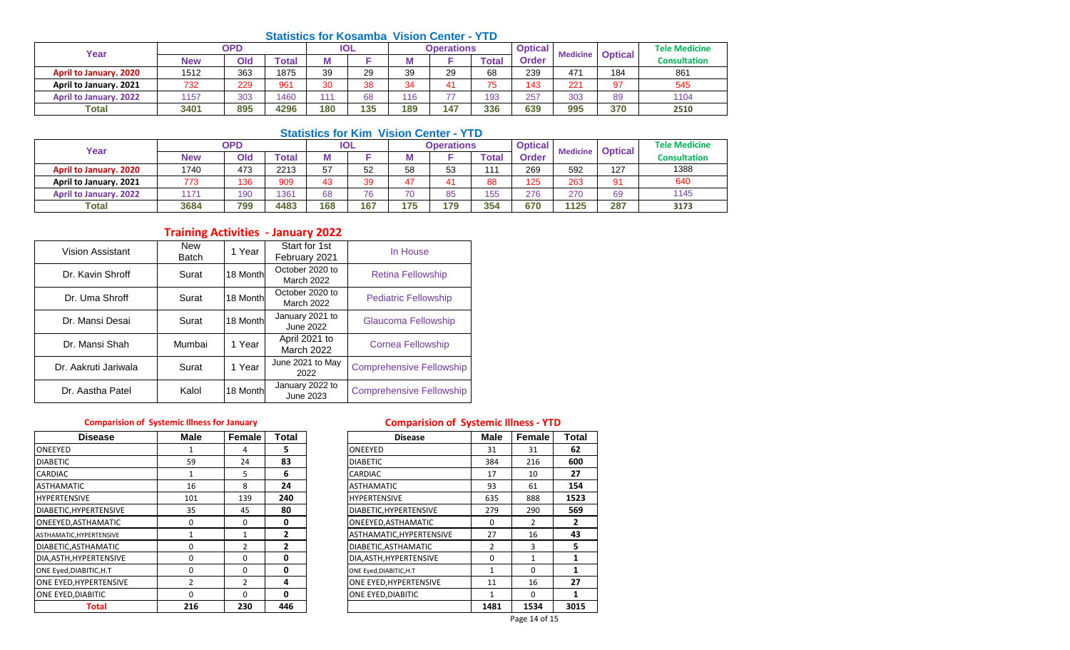#### **Statistics for Kosamba Vision Center - YTD**

| Year                          | <b>OPD</b> |     |       | <b>IOL</b> |     | <b>Operations</b> |     |           | <b>Optical</b><br><b>Medicine</b> |                 | <b>Optical</b> | <b>Tele Medicine</b> |
|-------------------------------|------------|-----|-------|------------|-----|-------------------|-----|-----------|-----------------------------------|-----------------|----------------|----------------------|
|                               | <b>New</b> | Old | 'otal |            |     |                   |     | Total     | Order                             |                 |                | <b>Consultation</b>  |
| <b>April to January. 2020</b> | 1512       | 363 | 1875  | 39         | 29  | 39                | 29  | 68        | 239                               | 47 <sup>4</sup> | 184            | 861                  |
| April to January. 2021        | 732        | 229 | 961   | 30         | 38  | 34                |     | 75<br>ں ו | 143                               | 221             | 97             | 545                  |
| <b>April to January. 2022</b> | 1157       | 303 | 1460  | 111        | 68  | 116               | --  | 193       | 257                               | 303             | 89             | 1104                 |
| <b>Total</b>                  | 3401       | 895 | 4296  | 180        | 135 | 189               | 147 | 336       | 639                               | 995             | 370            | 2510                 |

# **Statistics for Kim Vision Center - YTD**

| Year                          | OPD        |     |              | <b>IOL</b> |     | <b>Operations</b> |     |       | <b>Optical</b> | <b>Medicine</b> | <b>Optical</b> | <b>Tele Medicine</b> |
|-------------------------------|------------|-----|--------------|------------|-----|-------------------|-----|-------|----------------|-----------------|----------------|----------------------|
|                               | <b>New</b> | Old | <b>Total</b> |            |     | M                 |     | ™otal | Order          |                 |                | <b>Consultation</b>  |
| <b>April to January. 2020</b> | 1740       | 473 | 2213         | 57         | 52  | 58                | 53  | 111   | 269            | 592             | 127            | 1388                 |
| April to January. 2021        | 773        | 136 | 909          | 43         | 39  | 47                |     | 88    | 125            | 263             | 04             | 640                  |
| <b>April to January. 2022</b> | 117'       | 190 | 1361         | 68         | 76  | 70                | 85  | 155   | 276            | 270             | 69             | 1145                 |
| <b>Total</b>                  | 3684       | 799 | 4483         | 168        | 167 | 175               | 179 | 354   | 670            | 1125            | 287            | 3173                 |

# **Training Activities - January 2022**

| Vision Assistant     | <b>New</b><br><b>Batch</b> | 1 Year   | Start for 1st<br>February 2021     | In House                        |
|----------------------|----------------------------|----------|------------------------------------|---------------------------------|
| Dr. Kavin Shroff     | Surat                      | 18 Month | October 2020 to<br>March 2022      | <b>Retina Fellowship</b>        |
| Dr. Uma Shroff       | Surat                      | 18 Month | October 2020 to<br>March 2022      | <b>Pediatric Fellowship</b>     |
| Dr. Mansi Desai      | Surat                      | 18 Month | January 2021 to<br>June 2022       | Glaucoma Fellowship             |
| Dr. Mansi Shah       | Mumbai                     | 1 Year   | April 2021 to<br><b>March 2022</b> | <b>Cornea Fellowship</b>        |
| Dr. Aakruti Jariwala | Surat                      | 1 Year   | June 2021 to May<br>2022           | <b>Comprehensive Fellowship</b> |
| Dr. Aastha Patel     | Kalol                      | 18 Month | January 2022 to<br>June 2023       | <b>Comprehensive Fellowship</b> |

| <b>Disease</b>           | <b>Male</b> | Female        | Total | <b>Disease</b>           | Male | Female   | Tota         |
|--------------------------|-------------|---------------|-------|--------------------------|------|----------|--------------|
| <b>ONEEYED</b>           |             | 4             | 5.    | ONEEYED                  | 31   | 31       | 62           |
| <b>DIABETIC</b>          | 59          | 24            | 83    | <b>DIABETIC</b>          | 384  | 216      | 600          |
| <b>CARDIAC</b>           |             | 5.            | 6     | <b>CARDIAC</b>           | 17   | 10       | 27           |
| <b>ASTHAMATIC</b>        | 16          | 8             | 24    | <b>ASTHAMATIC</b>        | 93   | 61       | 154          |
| <b>HYPERTENSIVE</b>      | 101         | 139           | 240   | <b>HYPERTENSIVE</b>      | 635  | 888      | 1523         |
| DIABETIC.HYPERTENSIVE    | 35          | 45            | 80    | DIABETIC, HYPERTENSIVE   | 279  | 290      | 569          |
| ONEEYED, ASTHAMATIC      | 0           | $\Omega$      | 0     | ONEEYED, ASTHAMATIC      | 0    | 2        | $\mathbf{2}$ |
| ASTHAMATIC, HYPERTENSIVE |             |               | 2     | ASTHAMATIC, HYPERTENSIVE | 27   | 16       | 43           |
| DIABETIC, ASTHAMATIC     | 0           | 2             |       | DIABETIC, ASTHAMATIC     | 2    | 3        | 5            |
| DIA, ASTH, HYPERTENSIVE  | O           | $\Omega$      | 0     | DIA, ASTH, HYPERTENSIVE  | 0    |          |              |
| ONE Eyed, DIABITIC, H.T  | 0           | $\Omega$      | 0     | ONE Eyed, DIABITIC, H.T  |      | $\Omega$ |              |
| ONE EYED, HYPERTENSIVE   |             | $\mathcal{P}$ | 4     | ONE EYED, HYPERTENSIVE   | 11   | 16       | 27           |
| <b>ONE EYED.DIABITIC</b> | 0           | $\Omega$      | 0     | ONE EYED.DIABITIC        |      | $\Omega$ |              |
| <b>Total</b>             | 216         | 230           | 446   |                          | 1481 | 1534     | 3015         |

# **Comparision of Systemic Illness for January Comparision of Systemic Illness - YTD**

| <b>Disease</b>      | Male         | Female       | <b>Total</b> | <b>Disease</b>           | <b>Male</b> | Female        | Total |
|---------------------|--------------|--------------|--------------|--------------------------|-------------|---------------|-------|
|                     |              | 4            | 5            | ONEEYED                  | 31          | 31            | 62    |
|                     | 59           | 24           | 83           | <b>DIABETIC</b>          | 384         | 216           | 600   |
|                     | $\mathbf{1}$ | 5            | 6            | CARDIAC                  | 17          | 10            | 27    |
| IC                  | 16           | 8            | 24           | <b>ASTHAMATIC</b>        | 93          | 61            | 154   |
| IVE                 | 101          | 139          | 240          | <b>HYPERTENSIVE</b>      | 635         | 888           | 1523  |
| YPERTENSIVE         | 35           | 45           | 80           | DIABETIC, HYPERTENSIVE   | 279         | 290           | 569   |
| STHAMATIC           | 0            | $\Omega$     | 0            | ONEEYED, ASTHAMATIC      | $\Omega$    | 2             |       |
| <b>IYPERTENSIVE</b> |              | $\mathbf{1}$ | 2            | ASTHAMATIC, HYPERTENSIVE | 27          | 16            | 43    |
| STHAMATIC           | 0            | 2            | 2            | DIABETIC, ASTHAMATIC     | 2           | 3             | 5.    |
| YPERTENSIVE         | 0            | $\Omega$     | 0            | DIA, ASTH, HYPERTENSIVE  | $\Omega$    | $\mathbf{1}$  |       |
| ABITIC,H.T          | 0            | $\Omega$     | 0            | ONE Eyed, DIABITIC, H.T  | 1           | $\Omega$      |       |
| <b>IYPERTENSIVE</b> | 2            | 2            | 4            | ONE EYED, HYPERTENSIVE   | 11          | 16            | 27    |
| <b>IABITIC</b>      | 0            | $\Omega$     | 0            | ONE EYED, DIABITIC       | 1           | $\Omega$      |       |
| <b>Total</b>        | 216          | 230          | 446          |                          | 1481        | 1534          | 3015  |
|                     |              |              |              |                          |             | Page 14 of 15 |       |